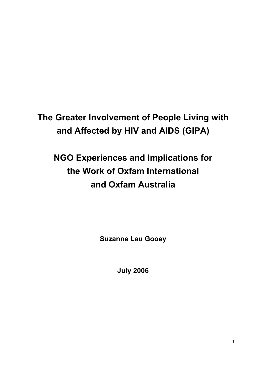# **The Greater Involvement of People Living with and Affected by HIV and AIDS (GIPA)**

# **NGO Experiences and Implications for the Work of Oxfam International and Oxfam Australia**

**Suzanne Lau Gooey** 

**July 2006**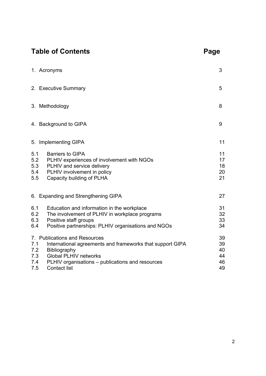# Table of Contents **Page**

|                                 | 1. Acronyms                                                                                                                                                                                                           | 3                                |  |
|---------------------------------|-----------------------------------------------------------------------------------------------------------------------------------------------------------------------------------------------------------------------|----------------------------------|--|
|                                 | 2. Executive Summary                                                                                                                                                                                                  | 5                                |  |
|                                 | 8<br>3. Methodology                                                                                                                                                                                                   |                                  |  |
|                                 | 4. Background to GIPA                                                                                                                                                                                                 |                                  |  |
|                                 | 5. Implementing GIPA                                                                                                                                                                                                  | 11                               |  |
| 5.1<br>5.2<br>5.3<br>5.4<br>5.5 | <b>Barriers to GIPA</b><br>PLHIV experiences of involvement with NGOs<br>PLHIV and service delivery<br>PLHIV involvement in policy<br>Capacity building of PLHA                                                       | 11<br>17<br>18<br>20<br>21       |  |
|                                 | 6. Expanding and Strengthening GIPA                                                                                                                                                                                   | 27                               |  |
| 6.1<br>6.2<br>6.3<br>6.4        | Education and information in the workplace<br>The involvement of PLHIV in workplace programs<br>Positive staff groups<br>Positive partnerships: PLHIV organisations and NGOs                                          | 31<br>32<br>33<br>34             |  |
| 7.1<br>7.2<br>7.3<br>7.4<br>7.5 | 7. Publications and Resources<br>International agreements and frameworks that support GIPA<br>Bibliography<br><b>Global PLHIV networks</b><br>PLHIV organisations – publications and resources<br><b>Contact list</b> | 39<br>39<br>40<br>44<br>46<br>49 |  |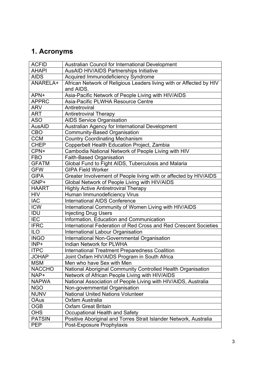# **1. Acronyms**

| <b>ACFID</b>  | Australian Council for International Development                    |
|---------------|---------------------------------------------------------------------|
| <b>AHAPI</b>  | AusAID HIV/AIDS Partnerships Initiative                             |
| <b>AIDS</b>   | Acquired Immunodeficiency Syndrome                                  |
| ANARELA+      | African Network of Religious Leaders living with or Affected by HIV |
|               | and AIDS.                                                           |
| APN+          | Asia-Pacific Network of People Living with HIV/AIDS                 |
| <b>APPRC</b>  | Asia-Pacific PLWHA Resource Centre                                  |
| <b>ARV</b>    | Antiretroviral                                                      |
| <b>ART</b>    | <b>Antiretroviral Therapy</b>                                       |
| <b>ASO</b>    | <b>AIDS Service Organisation</b>                                    |
| <b>AusAID</b> | Australian Agency for International Development                     |
| <b>CBO</b>    | Community-Based Organisation                                        |
| <b>CCM</b>    | <b>Country Coordinating Mechanism</b>                               |
| <b>CHEP</b>   | Copperbelt Health Education Project, Zambia                         |
| CPN+          | Cambodia National Network of People Living with HIV                 |
| <b>FBO</b>    | Faith-Based Organisation                                            |
| <b>GFATM</b>  | Global Fund to Fight AIDS, Tuberculosis and Malaria                 |
| <b>GFW</b>    | <b>GIPA Field Worker</b>                                            |
| <b>GIPA</b>   | Greater Involvement of People living with or affected by HIV/AIDS   |
| GNP+          | Global Network of People Living with HIV/AIDS                       |
| <b>HAART</b>  | <b>Highly Active Antiretroviral Therapy</b>                         |
| <b>HIV</b>    | Human Immunodeficiency Virus                                        |
| <b>IAC</b>    | <b>International AIDS Conference</b>                                |
| <b>ICW</b>    | International Community of Women Living with HIV/AIDS               |
| IDU           | <b>Injecting Drug Users</b>                                         |
| <b>IEC</b>    | Information, Education and Communication                            |
| <b>IFRC</b>   | International Federation of Red Cross and Red Crescent Societies    |
| <b>ILO</b>    | International Labour Organisation                                   |
| <b>INGO</b>   | International Non-Governmental Organisation                         |
| INP+          | <b>Indian Network for PLWHA</b>                                     |
| <b>ITPC</b>   | <b>International Treatment Preparedness Coalition</b>               |
| <b>JOHAP</b>  | Joint Oxfam HIV/AIDS Program in South Africa                        |
| <b>MSM</b>    | Men who have Sex with Men                                           |
| <b>NACCHO</b> | National Aboriginal Community Controlled Health Organisation        |
| NAP+          | Network of African People Living with HIV/AIDS                      |
| <b>NAPWA</b>  | National Association of People Living with HIV/AIDS, Australia      |
| <b>NGO</b>    | Non-governmental Organisation                                       |
| <b>NUNV</b>   | <b>National United Nations Volunteer</b>                            |
| OAus          | Oxfam Australia                                                     |
| <b>OGB</b>    | <b>Oxfam Great Britain</b>                                          |
| <b>OHS</b>    | Occupational Health and Safety                                      |
| <b>PATSIN</b> | Positive Aboriginal and Torres Strait Islander Network, Australia   |
| <b>PEP</b>    | Post-Exposure Prophylaxis                                           |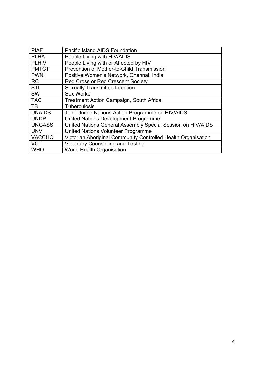| <b>PIAF</b>   | <b>Pacific Island AIDS Foundation</b>                         |
|---------------|---------------------------------------------------------------|
| <b>PLHA</b>   | People Living with HIV/AIDS                                   |
| <b>PLHIV</b>  | People Living with or Affected by HIV                         |
| <b>PMTCT</b>  | Prevention of Mother-to-Child Transmission                    |
| PWN+          | Positive Women's Network, Chennai, India                      |
| <b>RC</b>     | Red Cross or Red Crescent Society                             |
| <b>STI</b>    | <b>Sexually Transmitted Infection</b>                         |
| SW            | Sex Worker                                                    |
| <b>TAC</b>    | Treatment Action Campaign, South Africa                       |
| <b>TB</b>     | <b>Tuberculosis</b>                                           |
| <b>UNAIDS</b> | Joint United Nations Action Programme on HIV/AIDS             |
| <b>UNDP</b>   | United Nations Development Programme                          |
| <b>UNGASS</b> | United Nations General Assembly Special Session on HIV/AIDS   |
| <b>UNV</b>    | United Nations Volunteer Programme                            |
| <b>VACCHO</b> | Victorian Aboriginal Community Controlled Health Organisation |
| <b>VCT</b>    | <b>Voluntary Counselling and Testing</b>                      |
| <b>WHO</b>    | World Health Organisation                                     |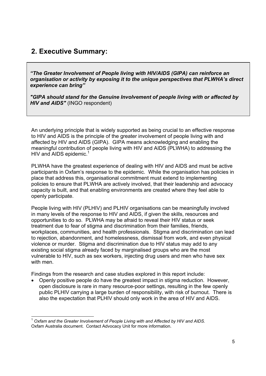# **2. Executive Summary:**

*"The Greater Involvement of People living with HIV/AIDS (GIPA) can reinforce an organisation or activity by exposing it to the unique perspectives that PLWHA's direct experience can bring"* 

*"GIPA should stand for the Genuine Involvement of people living with or affected by HIV and AIDS"* (INGO respondent)

An underlying principle that is widely supported as being crucial to an effective response to HIV and AIDS is the principle of the greater involvement of people living with and affected by HIV and AIDS (GIPA). GIPA means acknowledging and enabling the meaningful contribution of people living with HIV and AIDS (PLWHA) to addressing the HIV and AIDS epidemic.<sup>1</sup>

PLWHA have the greatest experience of dealing with HIV and AIDS and must be active participants in Oxfam's response to the epidemic. While the organisation has policies in place that address this, organisational commitment must extend to implementing policies to ensure that PLWHA are actively involved, that their leadership and advocacy capacity is built, and that enabling environments are created where they feel able to openly participate.

People living with HIV (PLHIV) and PLHIV organisations can be meaningfully involved in many levels of the response to HIV and AIDS, if given the skills, resources and opportunities to do so. PLWHA may be afraid to reveal their HIV status or seek treatment due to fear of stigma and discrimination from their families, friends, workplaces, communities, and health professionals. Stigma and discrimination can lead to rejection, abandonment, and homelessness, dismissal from work, and even physical violence or murder. Stigma and discrimination due to HIV status may add to any existing social stigma already faced by marginalised groups who are the most vulnerable to HIV, such as sex workers, injecting drug users and men who have sex with men

Findings from the research and case studies explored in this report include:

• Openly positive people do have the greatest impact in stigma reduction. However, open disclosure is rare in many resource-poor settings, resulting in the few openly public PLHIV carrying a large burden of responsibility, with risk of burnout. There is also the expectation that PLHIV should only work in the area of HIV and AIDS.

<sup>1</sup> <sup>1</sup> *Oxfam and the Greater Involvement of People Living with and Affected by HIV and AIDS.* Oxfam Australia document. Contact Advocacy Unit for more information.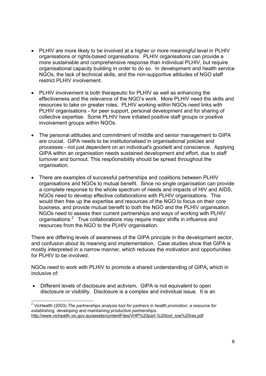- PLHIV are more likely to be involved at a higher or more meaningful level in PLHIV organisations or rights-based organisations. PLHIV organisations can provide a more sustainable and comprehensive response than individual PLHIV, but require organisational capacity building in order to do so. In development and health service NGOs, the lack of technical skills, and the non-supportive attitudes of NGO staff restrict PLHIV involvement.
- PLHIV involvement is both therapeutic for PLHIV as well as enhancing the effectiveness and the relevance of the NGO's work. More PLHIV need the skills and resources to take on greater roles. PLHIV working within NGOs need links with PLHIV organisations - for peer support, personal development and for sharing of collective expertise. Some PLHIV have initiated positive staff groups or positive involvement groups within NGOs.
- The personal attitudes and commitment of middle and senior management to GIPA are crucial. GIPA needs to be institutionalised in organisational policies and processes - not just dependent on an individual's goodwill and conscience. Applying GIPA within an organisation needs sustained development and effort, due to staff turnover and burnout. This resp0onsibility should be spread throughout the organisation.
- There are examples of successful partnerships and coalitions between PLHIV organisations and NGOs to mutual benefit. Since no single organisation can provide a complete response to the whole spectrum of needs and impacts of HIV and AIDS, NGOs need to develop effective collaborations with PLHIV organisations. This would then free up the expertise and resources of the NGO to focus on their core business, and provide mutual benefit to both the NGO and the PLHIV organisation. NGOs need to assess their current partnerships and ways of working with PLHIV organisations.<sup>2</sup> True collaborations may require major shifts in influence and resources from the NGO to the PLHIV organisation.

There are differing levels of awareness of the GIPA principle in the development sector, and confusion about its meaning and implementation. Case studies show that GIPA is mostly interpreted in a narrow manner, which reduces the motivation and opportunities for PLHIV to be involved.

NGOs need to work with PLHIV to promote a shared understanding of GIPA**,** which in inclusive of:

• Different levels of disclosure and activism**.** GIPA is not equivalent to open disclosure or visibility. Disclosure is a complex and individual issue. It is an

 2 VicHealth (2003) *The partnerships analysis tool for partners in health promotion: a resource for establishing, developing and maintaining productive partnerships.*  http://www.vichealth.vic.gov.au/assets/contentFiles/VHP%20part.%20tool\_low%20res.pdf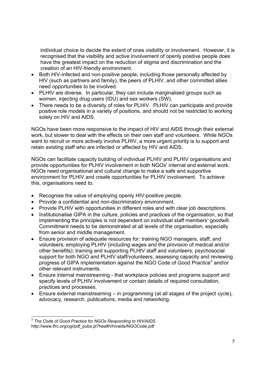individual choice to decide the extent of ones visibility or involvement. However, it is recognised that the visibility and active involvement of openly positive people does have the greatest impact on the reduction of stigma and discrimination and the creation of an HIV-friendly environment.

- Both HIV-infected and non-positive people, including those personally affected by HIV (such as partners and family), the peers of PLHIV, and other committed allies need opportunities to be involved.
- PLHIV are diverse*.*In particular, they can include marginalised groups such as women, injecting drug users (IDU) and sex workers (SW).
- There needs to be a diversity of roles for PLHIV. PLHIV can participate and provide positive role models in a variety of positions, and should not be restricted to working solely on HIV and AIDS.

NGOs have been more responsive to the impact of HIV and AIDS through their external work, but slower to deal with the effects on their own staff and volunteers. While NGOs want to recruit or more actively involve PLHIV, a more urgent priority is to support and retain existing staff who are infected or affected by HIV and AIDS.

NGOs can facilitate capacity building of individual PLHIV and PLHIV organisations and provide opportunities for PLHIV involvement in both NGOs' internal and external work. NGOs need organisational and cultural change to make a safe and supportive environment for PLHIV and create opportunities for PLHIV involvement. To achieve this, organisations need to:

- Recognise the value of employing openly HIV-positive people.
- Provide a confidential and non-discriminatory environment.
- Provide PLHIV with opportunities in different roles and with clear job descriptions.
- Institutionalise GIPA in the culture, policies and practices of the organisation, so that implementing the principles is not dependent on individual staff members' goodwill. Commitment needs to be demonstrated at all levels of the organisation, especially from senior and middle management.
- Ensure provision of adequate resources for: training NGO managers, staff, and volunteers; employing PLHIV (including wages and the provision of medical and/or other benefits); training and supporting PLHIV staff and volunteers; psychosocial support for both NGO and PLHIV staff/volunteers; assessing capacity and reviewing progress of GIPA implementation against the NGO Code of Good Practice<sup>3</sup> and/or other relevant instruments.
- Ensure internal mainstreaming that workplace policies and programs support and specify levels of PLHIV involvement or contain details of required consultation, practices and processes.
- Ensure external mainstreaming in programming (at all stages of the project cycle), advocacy, research, publications, media and networking.

<sup>1</sup> <sup>3</sup> *The Code of Good Practice for NGOs Responding to HIV/AIDS*. http://www.ifrc.org/cgi/pdf\_pubs.pl?health/hivaids/NGOCode.pdf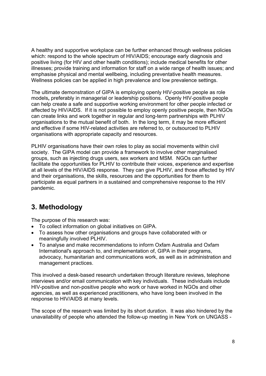A healthy and supportive workplace can be further enhanced through wellness policies which: respond to the whole spectrum of HIV/AIDS; encourage early diagnosis and positive living (for HIV and other health conditions); include medical benefits for other illnesses; provide training and information for staff on a wide range of health issues; and emphasise physical and mental wellbeing, including preventative health measures. Wellness policies can be applied in high prevalence and low prevalence settings.

The ultimate demonstration of GIPA is employing openly HIV-positive people as role models**,** preferably in managerial or leadership positions. Openly HIV-positive people can help create a safe and supportive working environment for other people infected or affected by HIV/AIDS. If it is not possible to employ openly positive people, then NGOs can create links and work together in regular and long-term partnerships with PLHIV organisations to the mutual benefit of both. In the long term, it may be more efficient and effective if some HIV-related activities are referred to, or outsourced to PLHIV organisations with appropriate capacity and resources.

PLHIV organisations have their own roles to play as social movements within civil society. The GIPA model can provide a framework to involve other marginalised groups, such as injecting drugs users, sex workers and MSM. NGOs can further facilitate the opportunities for PLHIV to contribute their voices, experience and expertise at all levels of the HIV/AIDS response. They can give PLHIV, and those affected by HIV and their organisations, the skills, resources and the opportunities for them to participate as equal partners in a sustained and comprehensive response to the HIV pandemic.

# **3. Methodology**

The purpose of this research was:

- To collect information on global initiatives on GIPA.
- To assess how other organisations and groups have collaborated with or meaningfully involved PLHIV.
- To analyse and make recommendations to inform Oxfam Australia and Oxfam International's approach to, and implementation of, GIPA in their programs, advocacy, humanitarian and communications work, as well as in administration and management practices.

This involved a desk-based research undertaken through literature reviews, telephone interviews and/or email communication with key individuals. These individuals include HIV-positive and non-positive people who work or have worked in NGOs and other agencies, as well as experienced practitioners, who have long been involved in the response to HIV/AIDS at many levels.

The scope of the research was limited by its short duration. It was also hindered by the unavailability of people who attended the follow-up meeting in New York on UNGASS -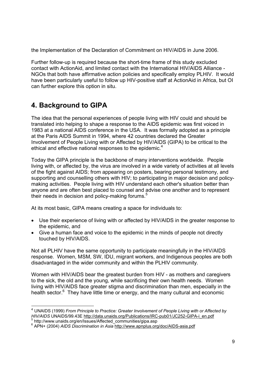the Implementation of the Declaration of Commitment on HIV/AIDS in June 2006.

Further follow-up is required because the short-time frame of this study excluded contact with ActionAid, and limited contact with the International HIV/AIDS Alliance - NGOs that both have affirmative action policies and specifically employ PLHIV. It would have been particularly useful to follow up HIV-positive staff at ActionAid in Africa, but OI can further explore this option in situ.

# **4. Background to GIPA**

-

The idea that the personal experiences of people living with HIV could and should be translated into helping to shape a response to the AIDS epidemic was first voiced in 1983 at a national AIDS conference in the USA. It was formally adopted as a principle at the Paris AIDS Summit in 1994, where 42 countries declared the Greater Involvement of People Living with or Affected by HIV/AIDS (GIPA) to be critical to the ethical and effective national responses to the epidemic.<sup>4</sup>

Today the GIPA principle is the backbone of many interventions worldwide. People living with, or affected by, the virus are involved in a wide variety of activities at all levels of the fight against AIDS; from appearing on posters, bearing personal testimony, and supporting and counselling others with HIV; to participating in major decision and policymaking activities. People living with HIV understand each other's situation better than anyone and are often best placed to counsel and advise one another and to represent their needs in decision and policy-making forums.<sup>5</sup>

At its most basic, GIPA means creating a space for individuals to:

- Use their experience of living with or affected by HIV/AIDS in the greater response to the epidemic, and
- Give a human face and voice to the epidemic in the minds of people not directly touched by HIV/AIDS.

Not all PLHIV have the same opportunity to participate meaningfully in the HIV/AIDS response. Women, MSM, SW, IDU, migrant workers, and Indigenous peoples are both disadvantaged in the wider community and within the PLHIV community.

Women with HIV/AIDS bear the greatest burden from HIV - as mothers and caregivers to the sick, the old and the young, while sacrificing their own health needs. Women living with HIV/AIDS face greater stigma and discrimination than men, especially in the health sector.<sup>6</sup> They have little time or energy, and the many cultural and economic

<sup>4</sup> UNAIDS (1999) *From Principle to Practice: Greater Involvement of People Living with or Affected by HIV/AIDS* UNAIDS/99.43E http://data.unaids.org/Publications/IRC-pub01/JC252-GIPA-i\_en.pdf http://www.unaids.org/en/Issues/Affected\_communities/gipa.asp

<sup>6</sup> APN+ (2004) *AIDS Discrimination in Asia* http://www.apnplus.org/doc/AIDS-asia.pdf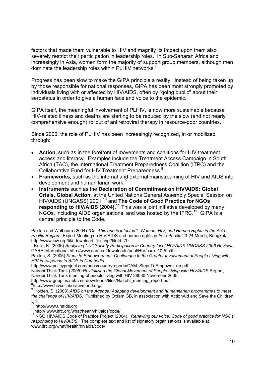factors that made them vulnerable to HIV and magnify its impact upon them also severely restrict their participation in leadership roles. In Sub-Saharan Africa and increasingly in Asia, women form the majority of support group members, although men dominate the leadership roles within PLHIV networks.<sup>7</sup>

Progress has been slow to make the GIPA principle a reality. Instead of being taken up by those responsible for national responses, GIPA has been most strongly promoted by individuals living with or affected by HIV/AIDS, often by "going public" about their serostatus in order to give a human face and voice to the epidemic.

GIPA itself, the meaningful involvement of PLHIV, is now more sustainable because HIV-related illness and deaths are starting to be reduced by the slow (and not nearly comprehensive enough) rollout of antiretroviral therapy in resource-poor countries.

Since 2000, the role of PLHIV has been increasingly recognized, in or mobilized through:

- **Action,** such as in the forefront of movements and coalitions for HIV treatment access and literacy. Examples include the Treatment Access Campaign in South Africa (TAC), the International Treatment Preparedness Coalition (ITPC) and the Collaborative Fund for HIV Treatment Preparedness.<sup>8</sup>
- **Frameworks,** such as the internal and external mainstreaming of HIV and AIDS into development and humanitarian work.<sup>9</sup>
- **Instruments** such as the **Declaration of Commitment on HIV/AIDS: Global Crisis, Global Action**, at the United Nations General Assembly Special Session on HIV/AIDS (UNGASS) 2001,10 and **The Code of Good Practice for NGOs responding to HIV/AIDS (2004).<sup>11</sup>** This was a joint initiative developed by many NGOs, including AIDS organisations, and was hosted by the IFRC.<sup>12</sup> GIPA is a central principle to the Code.

Paxton and Welbourn (2004) *"Oh. This one is infected!": Women, HIV, and Human Rights in the Asia-Pacific Region*. Expert Meeting on HIV/AIDS and human rights in Asia-Pacific 23-24 March, Bangkok. http://www.icw.org/tiki-download\_file.php?fileId=79<br>7 Kelle, K. (2006), Anglysing Civil Society Perticipat

 Kalla, K. (2006) *Analysing Civil Society Participation in Country-level HIV/AIDS UNGASS 2006 Reviews.* CARE International http://www.care.ca/downloads/publ/HIV/care\_10-5.pdf

Paxton, S. (2005) *Steps to Empowerment: Challenges to the Greater Involvement of People Living with HIV in response to AIDS in Cambodia.*

http://www.policyproject.com/pubs/countryreports/CAM\_StepsToEmpower\_en.pdf

Nairobi Think Tank (2005) *Revitalizing the Global Movement of People Living with HIV/AIDS* Report, Nairobi Think Tank meeting of people living with HIV 28030 November 2005.

http://www.gnpplus.net/cms-downloads/files/Nairobi\_meeting\_report.pdf

http://www.hivcollaborativefund.org/

UK.<br><sup>10</sup> http://www.unaids.org

11 http:// www.ifrc.org/what/health/hivaids/code/<br><sup>12</sup> NGO HIV/AIDS Code of Practice Project (2004). *Renewing our voice: Code of good practice for NGOs responding to HIV/AIDS.* The complete text and list of signatory organisations is available at www.ifrc.org/what/health/hivaids/code/.

<sup>9</sup> Holden, S. (2003) *AIDS on the Agenda: Adapting development and humanitarian programmes to meet the challenge of HIV/AIDS*. Published by Oxfam GB, in association with ActionAid and Save the Children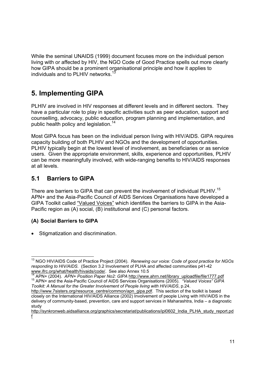While the seminal UNAIDS (1999) document focuses more on the individual person living with or affected by HIV, the NGO Code of Good Practice spells out more clearly how GIPA should be a prominent organisational principle and how it applies to individuals and to PLHIV networks.<sup>1</sup>

# **5. Implementing GIPA**

PLHIV are involved in HIV responses at different levels and in different sectors. They have a particular role to play in specific activities such as peer education, support and counselling, advocacy, public education, program planning and implementation, and public health policy and legislation.<sup>14</sup>

Most GIPA focus has been on the individual person living with HIV/AIDS. GIPA requires capacity building of both PLHIV and NGOs and the development of opportunities. PLHIV typically begin at the lowest level of involvement, as beneficiaries or as service users. Given the appropriate environment, skills, experience and opportunities, PLHIV can be more meaningfully involved, with wide-ranging benefits to HIV/AIDS responses at all levels.

# **5.1 Barriers to GIPA**

There are barriers to GIPA that can prevent the involvement of individual PLHIV.<sup>15</sup> APN+ and the Asia-Pacific Council of AIDS Services Organisations have developed a GIPA Toolkit called "Valued Voices" which identifies the barriers to GIPA in the Asia-Pacific region as (A) social, (B) institutional and (C) personal factors.

# **(A) Social Barriers to GIPA**

• Stigmatization and discrimination.

<sup>1</sup> 13 NGO HIV/AIDS Code of Practice Project (2004). *Renewing our voice: Code of good practice for NGOs responding to HIV/AIDS.* (Section 3.2 Involvement of PLHA and affected communities p41-42 www.ifrc.org/what/health/hivaids/code/. See also Annex 10.5<br><sup>14</sup> APN+ (2004). APN+ Position Paper No2: GIPA http://www.ahrn.net/library uploadfile/file1777.pdf

<sup>15</sup> APN+ and the Asia-Pacific Council of AIDS Services Organisations (2005). "Valued Voices" GIPA *Toolkit: A Manual for the Greater Involvement of People living with HIV/AIDS*, p.24.

http://www.7sisters.org/resource\_centre/common/apn\_gipa.pdf. This section of the toolkit is based closely on the International HIV/AIDS Alliance (2002) Involvement of people Living with HIV/AIDS in the delivery of community-based, prevention, care and support services in Maharashtra, India – a diagnostic study

http://synkronweb.aidsalliance.org/graphics/secretariat/publications/ipl0602 India\_PLHA\_study\_report.pd f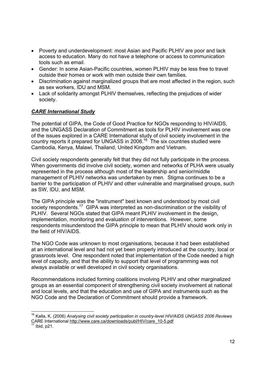- Poverty and underdevelopment: most Asian and Pacific PLHIV are poor and lack access to education. Many do not have a telephone or access to communication tools such as email.
- Gender: In some Asian-Pacific countries, women PLHIV may be less free to travel outside their homes or work with men outside their own families.
- Discrimination against marginalized groups that are most affected in the region, such as sex workers, IDU and MSM.
- Lack of solidarity amongst PLHIV themselves, reflecting the prejudices of wider society.

### *CARE International Study*

The potential of GIPA, the Code of Good Practice for NGOs responding to HIV/AIDS, and the UNGASS Declaration of Commitment as tools for PLHIV involvement was one of the issues explored in a CARE International study of civil society involvement in the country reports it prepared for UNGASS in 2006.16 The six countries studied were Cambodia, Kenya, Malawi, Thailand, United Kingdom and Vietnam.

Civil society respondents generally felt that they did not fully participate in the process. When governments did involve civil society, women and networks of PLHA were usually represented in the process although most of the leadership and senior/middle management of PLHIV networks was undertaken by men. Stigma continues to be a barrier to the participation of PLHIV and other vulnerable and marginalised groups, such as SW, IDU, and MSM.

The GIPA principle was the "instrument" best known and understood by most civil society respondents.<sup>17</sup> GIPA was interpreted as non-discrimination or the visibility of PLHIV. Several NGOs stated that GIPA meant PLHIV involvement in the design, implementation, monitoring and evaluation of interventions. However, some respondents misunderstood the GIPA principle to mean that PLHIV should work only in the field of HIV/AIDS.

The NGO Code was unknown to most organisations, because it had been established at an international level and had not yet been properly introduced at the country, local or grassroots level. One respondent noted that implementation of the Code needed a high level of capacity, and that the ability to support that level of programming was not always available or well developed in civil society organisations.

Recommendations included forming coalitions involving PLHIV and other marginalized groups as an essential component of strengthening civil society involvement at national and local levels, and that the education and use of GIPA and instruments such as the NGO Code and the Declaration of Commitment should provide a framework.

1

<sup>16</sup> Kalla, K. (2006) *Analysing civil society participation in country-level HIV/AIDS UNGASS 2006 Reviews* CARE International http://www.care.ca/downloads/publ/HIV/care\_10-5.pdf<br><sup>17</sup> Ibid, p21.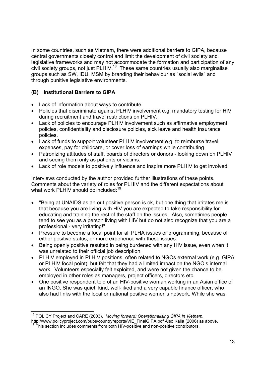In some countries, such as Vietnam, there were additional barriers to GIPA, because central governments closely control and limit the development of civil society and legislative frameworks and may not accommodate the formation and participation of any civil society groups, not just PLHIV.18 These same countries usually also marginalise groups such as SW, IDU, MSM by branding their behaviour as "social evils" and through punitive legislative environments.

### **(B) Institutional Barriers to GIPA**

- Lack of information about ways to contribute.
- Policies that discriminate against PLHIV involvement e.g. mandatory testing for HIV during recruitment and travel restrictions on PLHIV.
- Lack of policies to encourage PLHIV involvement such as affirmative employment policies, confidentiality and disclosure policies, sick leave and health insurance policies.
- Lack of funds to support volunteer PLHIV involvement e.g. to reimburse travel expenses, pay for childcare, or cover loss of earnings while contributing.
- Patronizing attitudes of staff, boards of directors or donors looking down on PLHIV and seeing them only as patients or victims.
- Lack of role models to positively influence and inspire more PLHIV to get involved.

Interviews conducted by the author provided further illustrations of these points. Comments about the variety of roles for PLHIV and the different expectations about what work PLHIV should do included: $19$ 

- "Being at UNAIDS as an out positive person is ok, but one thing that irritates me is that because you are living with HIV you are expected to take responsibility for educating and training the rest of the staff on the issues. Also, sometimes people tend to see you as a person living with HIV but do not also recognize that you are a professional - very irritating!"
- Pressure to become a focal point for all PLHA issues or programming, because of either positive status, or more experience with these issues.
- Being openly positive resulted in being burdened with any HIV issue, even when it was unrelated to their official job description.
- PLHIV employed in PLHIV positions, often related to NGOs external work (e.g. GIPA or PLHIV focal point), but felt that they had a limited impact on the NGO's internal work. Volunteers especially felt exploited, and were not given the chance to be employed in other roles as managers, project officers, directors etc.
- One positive respondent told of an HIV-positive woman working in an Asian office of an INGO. She was quiet, kind, well-liked and a very capable finance officer, who also had links with the local or national positive women's network. While she was

<sup>1</sup> 18 POLICY Project and CARE (2003). *Moving forward: Operationalising GIPA in Vietnam.*

http://www.policyproject.com/pubs/countryreports/VIE\_FinalGIPA.pdf Also Kalla (2006) as above. <sup>19</sup> This section includes comments from both HIV-positive and non-positive contributors.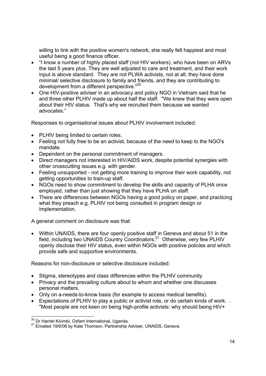willing to link with the positive women's network, she really felt happiest and most useful being a good finance officer.

- "I know a number of highly placed staff (not HIV workers), who have been on ARVs the last 5 years plus. They are well adjusted to care and treatment, and their work input is above standard. They are not PLWA activists, not at all, they have done minimal/ selective disclosure to family and friends, and they are contributing to development from a different perspective."<sup>20</sup>
- One HIV-positive adviser in an advocacy and policy NGO in Vietnam said that he and three other PLHIV made up about half the staff. "We knew that they were open about their HIV status. That's why we recruited them because we wanted advocates."

Responses to organisational issues about PLHIV involvement included:

- PLHIV being limited to certain roles.
- Feeling not fully free to be an activist, because of the need to keep to the NGO's mandate.
- Dependent on the personal commitment of managers.
- Direct managers not interested in HIV/AIDS work, despite potential synergies with other crosscutting issues e.g. with gender.
- Feeling unsupported not getting more training to improve their work capability, not getting opportunities to train-up staff.
- NGOs need to show commitment to develop the skills and capacity of PLHA once employed, rather than just showing that they have PLHA on staff.
- There are differences between NGOs having a good policy on paper, and practicing what they preach e.g. PLHIV not being consulted in program design or implementation.

A general comment on disclosure was that:

• Within UNAIDS, there are four openly positive staff in Geneva and about 51 in the field, including two UNAIDS Country Coordinators.21 Otherwise, very few PLHIV openly disclose their HIV status, even within NGOs with positive policies and which provide safe and supportive environments.

Reasons for non-disclosure or selective disclosure included:

- Stigma, stereotypes and class differences within the PLHIV community
- Privacy and the prevailing culture about to whom and whether one discusses personal matters.
- Only on a-needs-to-know basis (for example to access medical benefits).
- Expectations of PLHIV to play a public or activist role, or do certain kinds of work. . "Most people are not keen on being high-profile activists: why should being HIV+

<sup>&</sup>lt;sup>20</sup> Dr Harriet Kivimbi, Oxfam International, Uganda.

<sup>21</sup> Emailed 19/6/06 by Kate Thomson, Partnership Adviser, UNAIDS, Geneva.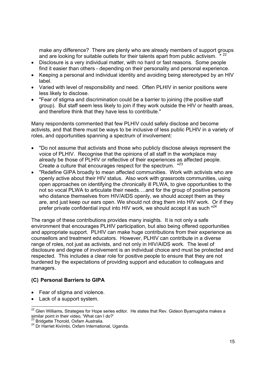make any difference? There are plenty who are already members of support groups and are looking for suitable outlets for their talents apart from public activism. "<sup>22</sup>

- Disclosure is a very individual matter, with no hard or fast reasons. Some people find it easier than others - depending on their personality and personal experience.
- Keeping a personal and individual identity and avoiding being stereotyped by an HIV label.
- Varied with level of responsibility and need. Often PLHIV in senior positions were less likely to disclose.
- "Fear of stigma and discrimination could be a barrier to joining (the positive staff group). But staff seem less likely to join if they work outside the HIV or health areas, and therefore think that they have less to contribute."

Many respondents commented that few PLHIV could safely disclose and become activists, and that there must be ways to be inclusive of less public PLHIV in a variety of roles, and opportunities spanning a spectrum of involvement:

- "Do not assume that activists and those who publicly disclose always represent the voice of PLHIV. Recognise that the opinions of all staff in the workplace may already be those of PLHIV or reflective of their experiences as affected people. Create a culture that encourages respect for the spectrum. "<sup>23</sup>
- "Redefine GIPA broadly to mean affected communities. Work with activists who are openly active about their HIV status. Also work with grassroots communities, using open approaches on identifying the chronically ill PLWA, to give opportunities to the not so vocal PLWA to articulate their needs….and for the group of positive persons who distance themselves from HIV/AIDS openly, we should accept them as they are, and just keep our ears open. We should not drag them into HIV work. Or if they prefer private confidential input into HIV work, we should accept it as such "<sup>24</sup>

The range of these contributions provides many insights. It is not only a safe environment that encourages PLHIV participation, but also being offered opportunities and appropriate support. PLHIV can make huge contributions from their experience as counsellors and treatment educators. However, PLHIV can contribute in a diverse range of roles, not just as activists, and not only in HIV/AIDS work. The level of disclosure and degree of involvement is an individual choice and must be protected and respected. This includes a clear role for positive people to ensure that they are not burdened by the expectations of providing support and education to colleagues and managers.

### **(C) Personal Barriers to GIPA**

- Fear of stigma and violence.
- Lack of a support system.

<sup>-</sup> $^{22}$  Glen Williams, Strategies for Hope series editor. He states that Rev. Gideon Byamugisha makes a similar point in their video, 'What can I do?'<br><sup>23</sup> Bridgette Thorold, Oxfam Australia.

<sup>23</sup> Bridgette Thorold, Oxfam Australia. 24 Dr Harriet Kivimbi, Oxfam International, Uganda.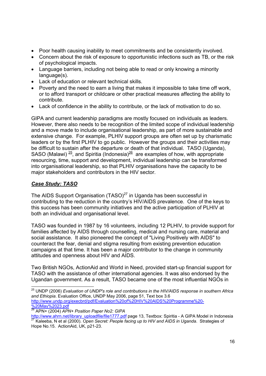- Poor health causing inability to meet commitments and be consistently involved.
- Concern about the risk of exposure to opportunistic infections such as TB, or the risk of psychological impacts.
- Language barriers, including not being able to read or only knowing a minority language(s).
- Lack of education or relevant technical skills.
- Poverty and the need to earn a living that makes it impossible to take time off work, or to afford transport or childcare or other practical measures affecting the ability to contribute.
- Lack of confidence in the ability to contribute, or the lack of motivation to do so.

GIPA and current leadership paradigms are mostly focused on individuals as leaders. However, there also needs to be recognition of the limited scope of individual leadership and a move made to include organisational leadership, as part of more sustainable and extensive change. For example, PLHIV support groups are often set up by charismatic leaders or by the first PLHIV to go public. However the groups and their activities may be difficult to sustain after the departure or death of that individual. TASO (Uganda), SASO (Malawi)  $\frac{25}{5}$ , and Spiritia (Indonesia)<sup>26</sup> are examples of how, with appropriate resourcing, time, support and development, individual leadership can be transformed into organisational leadership, so that PLHIV organisations have the capacity to be major stakeholders and contributors in the HIV sector.

### *Case Study: TASO*

The AIDS Support Organisation  $(TASO)^{27}$  in Uganda has been successful in contributing to the reduction in the country's HIV/AIDS prevalence. One of the keys to this success has been community initiatives and the active participation of PLHIV at both an individual and organisational level.

TASO was founded in 1987 by 16 volunteers, including 12 PLHIV, to provide support for families affected by AIDS through counselling, medical and nursing care, material and social assistance. It also pioneered the concept of "Living Positively with AIDS" to counteract the fear, denial and stigma resulting from existing prevention education campaigns at that time. It has been a major contributor to the change in community attitudes and openness about HIV and AIDS.

Two British NGOs, ActionAid and World in Need, provided start-up financial support for TASO with the assistance of other international agencies. It was also endorsed by the Ugandan government. As a result, TASO became one of the most influential NGOs in

<sup>1</sup> 25 UNDP (2006) *Evaluation of UNDP's role and contributions in the HIV/AIDS response in southern Africa and Ethiopia*. Evaluation Office, UNDP May 2006, page 51, Text box 3.6 http://www.undp.org/execbrd/pdf/Evaluation%20of%20HIV%20AIDS%20Programme%20-

<sup>%20</sup>May%2023.pdf 26 APN+ (2004) *APN+ Position Paper No2: GIPA*

http://www.ahrn.net/library\_uploadfile/file1777.pdf page 13, Textbox: Spiritia - A GIPA Model in Indonesia 27 Kaleeba, N et al (2000). *Open Secret: People facing up to HIV and AIDS in Uganda*. Strategies of Hope No.15. ActionAid, UK, p21-23.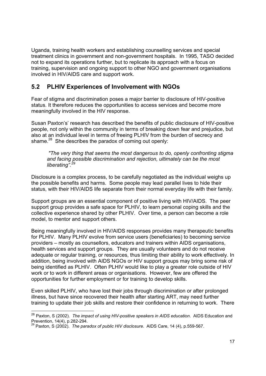Uganda, training health workers and establishing counselling services and special treatment clinics in government and non-government hospitals. In 1995, TASO decided not to expand its operations further, but to replicate its approach with a focus on training, supervision and ongoing support to other NGO and government organisations involved in HIV/AIDS care and support work.

## **5.2 PLHIV Experiences of Involvement with NGOs**

Fear of stigma and discrimination poses a major barrier to disclosure of HIV-positive status. It therefore reduces the opportunities to access services and become more meaningfully involved in the HIV response.

Susan Paxton's' research has described the benefits of public disclosure of HIV-positive people, not only within the community in terms of breaking down fear and prejudice, but also at an individual level in terms of freeing PLHIV from the burden of secrecy and shame. $^{28}$  She describes the paradox of coming out openly:

 *"The very thing that seems the most dangerous to do, openly confronting stigma and facing possible discrimination and rejection, ultimately can be the most liberating".*<sup>2</sup>

Disclosure is a complex process, to be carefully negotiated as the individual weighs up the possible benefits and harms. Some people may lead parallel lives to hide their status, with their HIV/AIDS life separate from their normal everyday life with their family.

Support groups are an essential component of positive living with HIV/AIDS. The peer support group provides a safe space for PLHIV, to learn personal coping skills and the collective experience shared by other PLHIV. Over time, a person can become a role model, to mentor and support others.

Being meaningfully involved in HIV/AIDS responses provides many therapeutic benefits for PLHIV. Many PLHIV evolve from service users (beneficiaries) to becoming service providers – mostly as counsellors, educators and trainers within AIDS organisations, health services and support groups. They are usually volunteers and do not receive adequate or regular training, or resources, thus limiting their ability to work effectively. In addition, being involved with AIDS NGOs or HIV support groups may bring some risk of being identified as PLHIV. Often PLHIV would like to play a greater role outside of HIV work or to work in different areas or organisations. However, few are offered the opportunities for further employment or for training to develop skills.

Even skilled PLHIV, who have lost their jobs through discrimination or after prolonged illness, but have since recovered their health after starting ART, may need further training to update their job skills and restore their confidence in returning to work. There

 $\overline{a}$ 

<sup>28</sup> Paxton, S (2002). *The impact of using HIV-positive speakers in AIDS education*. AIDS Education and Prevention, 14(4), p.282-294.

<sup>29</sup> Paxton, S (2002). *The paradox of public HIV disclosure.* AIDS Care, 14 (4), p.559-567.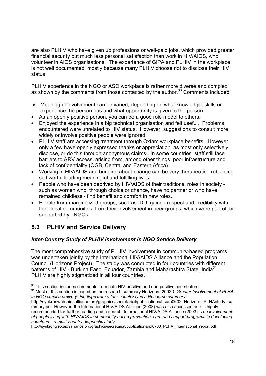are also PLHIV who have given up professions or well-paid jobs, which provided greater financial security but much less personal satisfaction than work in HIV/AIDS, who volunteer in AIDS organisations. The experience of GIPA and PLHIV in the workplace is not well documented, mostly because many PLHIV choose not to disclose their HIV status.

PLHIV experience in the NGO or ASO workplace is rather more diverse and complex, as shown by the comments from those contacted by the author.<sup>30</sup> Comments included:

- Meaningful involvement can be varied, depending on what knowledge, skills or experience the person has and what opportunity is given to the person.
- As an openly positive person, you can be a good role model to others.
- Enjoyed the experience in a big technical organisation and felt useful. Problems encountered were unrelated to HIV status. However, suggestions to consult more widely or involve positive people were ignored.
- PLHIV staff are accessing treatment through Oxfam workplace benefits. However, only a few have openly expressed thanks or appreciation, as most only selectively disclose, or do this through anonymous claims. In some countries, staff still face barriers to ARV access, arising from, among other things, poor infrastructure and lack of confidentiality (OGB, Central and Eastern Africa).
- Working in HIV/AIDS and bringing about change can be very therapeutic rebuilding self worth, leading meaningful and fulfilling lives.
- People who have been deprived by HIV/AIDS of their traditional roles in society such as women who, through choice or chance, have no partner or who have remained childless - find benefit and comfort in new roles.
- People from marginalized groups, such as IDU, gained respect and credibility with their local communities, from their involvement in peer groups, which were part of, or supported by, INGOs.

# **5.3 PLHIV and Service Delivery**

### *Inter-Country Study of PLHIV Involvement in NGO Service Delivery*

The most comprehensive study of PLHIV involvement in community-based programs was undertaken jointly by the International HIV/AIDS Alliance and the Population Council (Horizons Project). The study was conducted in four countries with different patterns of HIV - Burkina Faso, Ecuador, Zambia and Maharashtra State, India<sup>31</sup>. PLHIV are highly stigmatized in all four countries.

http://synkronweb.aidsalliance.org/graphics/secretariat/publications/ipl0703\_PLHA\_International\_report.pdf

<sup>&</sup>lt;sup>30</sup> This section includes comments from both HIV-positive and non-positive contributors.

<sup>&</sup>lt;sup>31</sup> Most of this section is based on the research summary Horizons (2002.) Greater Involvement of PLHA *in NGO service delivery: Findings from a four-country study Research summary.* 

http://synkronweb.aidsalliance.org/graphics/secretariat/publications/hsum0602\_Horizons\_PLHAstudy\_su mmary.pdf However, the International HIV/AIDS Alliance (2003) was also accessed and is highly recommended for further reading and research. International HIV/AIDS Alliance (2003). *The involvement of people living with HIV/AIDS in community-based prevention, care and support programs in developing countries – a multi-country diagnostic study.*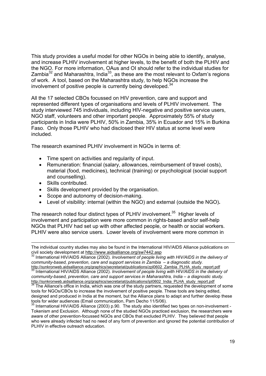This study provides a useful model for other NGOs in being able to identify, analyse, and increase PLHIV involvement at higher levels, to the benefit of both the PLHIV and the NGO. For more information, OAus and OI should refer to the individual studies for Zambia<sup>32</sup> and Maharashtra, India<sup>33</sup>, as these are the most relevant to Oxfam's regions of work. A tool, based on the Maharashtra study, to help NGOs increase the involvement of positive people is currently being developed.<sup>34</sup>

All the 17 selected CBOs focussed on HIV prevention, care and support and represented different types of organisations and levels of PLHIV involvement. The study interviewed 745 individuals, including HIV-negative and positive service users, NGO staff, volunteers and other important people. Approximately 55% of study participants in India were PLHIV, 50% in Zambia, 35% in Ecuador and 15% in Burkina Faso. Only those PLHIV who had disclosed their HIV status at some level were included.

The research examined PLHIV involvement in NGOs in terms of:

- Time spent on activities and regularity of input.
- Remuneration: financial (salary, allowances, reimbursement of travel costs), material (food, medicines), technical (training) or psychological (social support and counselling).
- Skills contributed.
- Skills development provided by the organisation.
- Scope and autonomy of decision-making.
- Level of visibility: internal (within the NGO) and external (outside the NGO)**.**

The research noted four distinct types of PLHIV involvement.<sup>35</sup> Higher levels of involvement and participation were more common in rights-based and/or self-help NGOs that PLHIV had set up with other affected people, or health or social workers. PLHIV were also service users. Lower levels of involvement were more common in

International HIV/AIDS Alliance (2002). *Involvement of people living with HIV/AIDS in the delivery of community-based, prevention, care and support services in Zambia – a diagnostic study.*

 $\frac{33}{33}$  International HIV/AIDS Alliance (2002). Involvement of people living with HIV/AIDS in the delivery of *community-based, prevention, care and support services in Maharashtra, India – a diagnostic study.* http://synkronweb.aidsalliance.org/graphics/secretariat/publications/ipl0602\_India\_PLHA\_study\_report.pdf 34 The Alliance's office in India, which was one of the study partners, requested the development of some

 $\overline{a}$ The individual country studies may also be found in the International HIV/AIDS Alliance publications on<br>civil society development at http://www.aidsalliance.org/sw7442.asp<br>32 International UN/AIDS Alliance 2002.2003

tools for NGOs/CBOs to increase the involvement of positive people. These tools are being edited, designed and produced in India at the moment, but the Alliance plans to adapt and further develop these tools for wider audiences (Email communication, Pam Decho 11/5/06).

 $35$  International HIV/AIDS Alliance (2003) p.90. The study also identified two types on non-involvement -Tokenism and Exclusion. Although none of the studied NGOs practiced exclusion, the researchers were aware of other prevention-focussed NGOs and CBOs that excluded PLHIV. They believed that people who were already infected had no need of any form of prevention and ignored the potential contribution of PLHIV in effective outreach education.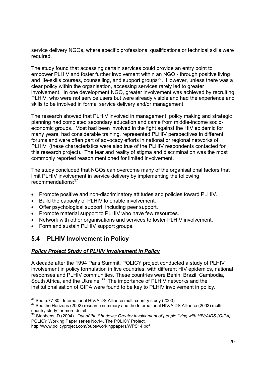service delivery NGOs, where specific professional qualifications or technical skills were required.

The study found that accessing certain services could provide an entry point to empower PLHIV and foster further involvement within an NGO - through positive living and life-skills courses, counselling, and support groups<sup>36</sup>. However, unless there was a clear policy within the organisation, accessing services rarely led to greater involvement. In one development NGO, greater involvement was achieved by recruiting PLHIV, who were not service users but were already visible and had the experience and skills to be involved in formal service delivery and/or management.

The research showed that PLHIV involved in management, policy making and strategic planning had completed secondary education and came from middle-income socioeconomic groups. Most had been involved in the fight against the HIV epidemic for many years, had considerable training, represented PLHIV perspectives in different forums and were often part of advocacy efforts in national or regional networks of PLHIV (these characteristics were also true of the PLHIV respondents contacted for this research project). The fear and reality of stigma and discrimination was the most commonly reported reason mentioned for limited involvement.

The study concluded that NGOs can overcome many of the organisational factors that limit PLHIV involvement in service delivery by implementing the following recommendations:<sup>37</sup>

- Promote positive and non-discriminatory attitudes and policies toward PLHIV.
- Build the capacity of PLHIV to enable involvement.
- Offer psychological support, including peer support.
- Promote material support to PLHIV who have few resources.
- Network with other organisations and services to foster PLHIV involvement.
- Form and sustain PLHIV support groups.

# **5.4 PLHIV Involvement in Policy**

#### *Policy Project Study of PLHIV Involvement in Policy*

A decade after the 1994 Paris Summit, POLICY project conducted a study of PLHIV involvement in policy formulation in five countries, with different HIV epidemics, national responses and PLHIV communities. These countries were Benin, Brazil, Cambodia, South Africa, and the Ukraine.<sup>38</sup> The importance of PLHIV networks and the institutionalisation of GIPA were found to be key to PLHIV involvement in policy.

http://www.policyproject.com/pubs/workingpapers/WPS14.pdf

<sup>&</sup>lt;sup>36</sup> See p.77-80. International HIV/AIDS Alliance multi-country study (2003).

<sup>&</sup>lt;sup>37</sup> See the Horizons (2002) research summary and the International HIV/AIDS Alliance (2003) multicountry study for more detail.

<sup>38</sup> Stephens, D (2004). *Out of the Shadows: Greater involvement of people living with HIV/AIDS (GIPA).*  POLICY Working Paper series No.14. The POLICY Project.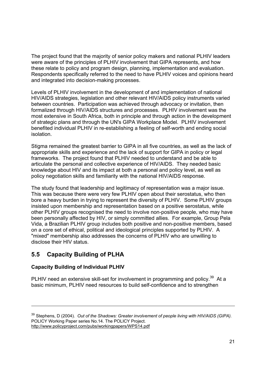The project found that the majority of senior policy makers and national PLHIV leaders were aware of the principles of PLHIV involvement that GIPA represents, and how these relate to policy and program design, planning, implementation and evaluation. Respondents specifically referred to the need to have PLHIV voices and opinions heard and integrated into decision-making processes.

Levels of PLHIV involvement in the development of and implementation of national HIV/AIDS strategies, legislation and other relevant HIV/AIDS policy instruments varied between countries. Participation was achieved through advocacy or invitation, then formalized through HIV/AIDS structures and processes. PLHIV involvement was the most extensive in South Africa, both in principle and through action in the development of strategic plans and through the UN's GIPA Workplace Model. PLHIV involvement benefited individual PLHIV in re-establishing a feeling of self-worth and ending social isolation.

Stigma remained the greatest barrier to GIPA in all five countries, as well as the lack of appropriate skills and experience and the lack of support for GIPA in policy or legal frameworks. The project found that PLHIV needed to understand and be able to articulate the personal and collective experience of HIV/AIDS. They needed basic knowledge about HIV and its impact at both a personal and policy level, as well as policy negotiation skills and familiarity with the national HIV/AIDS response.

The study found that leadership and legitimacy of representation was a major issue. This was because there were very few PLHIV open about their serostatus, who then bore a heavy burden in trying to represent the diversity of PLHIV. Some PLHIV groups insisted upon membership and representation based on a positive serostatus, while other PLHIV groups recognised the need to involve non-positive people, who may have been personally affected by HIV, or simply committed allies. For example, Group Pela Vida, a Brazilian PLHIV group includes both positive and non-positive members, based on a core set of ethical, political and ideological principles supported by PLHIV. A "mixed" membership also addresses the concerns of PLHIV who are unwilling to disclose their HIV status.

# **5.5 Capacity Building of PLHA**

### **Capacity Building of Individual PLHIV**

 $\overline{a}$ 

PLHIV need an extensive skill-set for involvement in programming and policy.<sup>39</sup> At a basic minimum, PLHIV need resources to build self-confidence and to strengthen

<sup>&</sup>lt;sup>39</sup> Stephens, D (2004). *Out of the Shadows: Greater involvement of people living with HIV/AIDS (GIPA).* POLICY Working Paper series No.14. The POLICY Project. http://www.policyproject.com/pubs/workingpapers/WPS14.pdf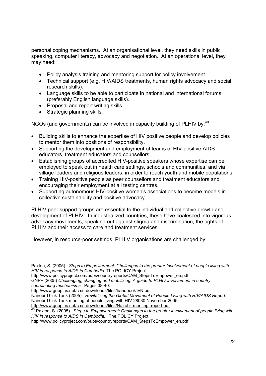personal coping mechanisms. At an organisational level, they need skills in public speaking, computer literacy, advocacy and negotiation. At an operational level, they may need:

- Policy analysis training and mentoring support for policy involvement.
- Technical support (e.g. HIV/AIDS treatments, human rights advocacy and social research skills).
- Language skills to be able to participate in national and international forums (preferably English language skills).
- Proposal and report writing skills.
- Strategic planning skills.

NGOs (and governments) can be involved in capacity building of PLHIV by:<sup>40</sup>

- Building skills to enhance the expertise of HIV positive people and develop policies to mentor them into positions of responsibility.
- Supporting the development and employment of teams of HIV-positive AIDS educators, treatment educators and counsellors.
- Establishing groups of accredited HIV-positive speakers whose expertise can be employed to speak out in health care settings, schools and communities, and via village leaders and religious leaders, in order to reach youth and mobile populations.
- Training HIV-positive people as peer counsellors and treatment educators and encouraging their employment at all testing centres.
- Supporting autonomous HIV-positive women's associations to become models in collective sustainability and positive advocacy.

PLHIV peer support groups are essential to the individual and collective growth and development of PLHIV. In industrialized countries, these have coalesced into vigorous advocacy movements, speaking out against stigma and discrimination, the rights of PLHIV and their access to care and treatment services.

However, in resource-poor settings, PLHIV organisations are challenged by:

http://www.policyproject.com/pubs/countryreports/CAM\_StepsToEmpower\_en.pdf

GNP+ (2005) *Challenging, changing and mobilizing: A guide to PLHIV involvement in country coordinating mechanisms.* Pages 38-40.

http://www.gnpplus.net/cms-downloads/files/handbook-EN.pdf

Nairobi Think Tank (2005). *Revitalizing the Global Movement of People Living with HIV/AIDS Report*. Nairobi Think Tank meeting of people living with HIV 28030 November 2005. http://www.gnpplus.net/cms-downloads/files/Nairobi\_meeting\_report.pdf

<sup>0</sup> Paxton, S (2005). *Steps to Empowerment: Challenges to the greater involvement of people living with HIV in response to AIDS in Cambodia.* The POLICY Project.

http://www.policyproject.com/pubs/countryreports/CAM\_StepsToEmpower\_en.pdf

Paxton, S (2005). *Steps to Empowerment: Challenges to the greater Involvement of people living with HIV in response to AIDS in Cambodia.* The POLICY Project.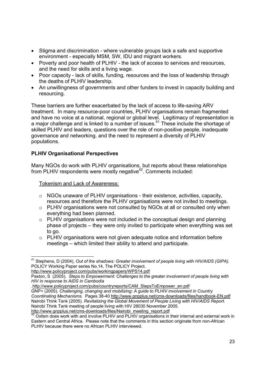- Stigma and discrimination where vulnerable groups lack a safe and supportive environment - especially MSM, SW, IDU and migrant workers.
- Poverty and poor health of PLHIV the lack of access to services and resources, and the need for skills and a living wage.
- Poor capacity lack of skills, funding, resources and the loss of leadership through the deaths of PLHIV leadership.
- An unwillingness of governments and other funders to invest in capacity building and resourcing.

These barriers are further exacerbated by the lack of access to life-saving ARV treatment. In many resource-poor countries, PLHIV organisations remain fragmented and have no voice at a national, regional or global level. Legitimacy of representation is a major challenge and is linked to a number of issues. $41$  These include the shortage of skilled PLHIV and leaders, questions over the role of non-positive people, inadequate governance and networking, and the need to represent a diversity of PLHIV populations.

#### **PLHIV Organisational Perspectives**

Many NGOs do work with PLHIV organisations, but reports about these relationships from PLHIV respondents were mostly negative<sup>42</sup>. Comments included:

Tokenism and Lack of Awareness:

- $\circ$  NGOs unaware of PLHIV organisations their existence, activities, capacity, resources and therefore the PLHIV organisations were not invited to meetings.
- o PLHIV organisations were not consulted by NGOs at all or consulted only when everything had been planned.
- $\circ$  PLHIV organisations were not included in the conceptual design and planning phase of projects – they were only invited to participate when everything was set to go.
- o PLHIV organisations were not given adequate notice and information before meetings – which limited their ability to attend and participate.

http://www.policyproject.com/pubs/workingpapers/WPS14.pdf

.http://www.policyproject.com/pubs/countryreports/CAM\_StepsToEmpower\_en.pdf GNP+ (2005). *Challenging, changing and mobilizing: A guide to PLHIV involvement in Country Coordinating Mechanisms.* Pages 38-40 http://www.gnpplus.net/cms-downloads/files/handbook-EN.pdf

Nairobi Think Tank (2005). *Revitalizing the Global Movement of People Living with HIV/AIDS Report.* Nairobi Think Tank meeting of people living with HIV 28030 November 2005.<br>http://www.gnpplus.net/cms-downloads/files/Nairobi\_meeting\_report.pdf

<sup>1</sup> <sup>41</sup> Stephens, D (2004), *Out of the shadows: Greater involvement of people living with HIV/AIDS (GIPA).* POLICY Working Paper series No.14, The POLICY Project.

Paxton, S (2005). *Steps to Empowerment: Challenges to the greater involvement of people living with HIV in response to AIDS in Cambodia*

Oxfam does work with and involve PLHIV and PLHIV organisations in their internal and external work in Eastern and Central Africa. Please note that the comments in this section originate from non-African PLHIV because there were no African PLHIV interviewed.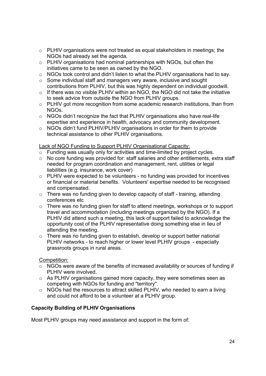- o PLHIV organisations were not treated as equal stakeholders in meetings; the NGOs had already set the agenda.
- o PLHIV organisations had nominal partnerships with NGOs, but often the initiatives came to be seen as owned by the NGO.
- $\circ$  NGOs took control and didn't listen to what the PLHIV organisations had to say.
- o Some individual staff and managers very aware, inclusive and sought contributions from PLHIV, but this was highly dependent on individual goodwill.
- o If there was no visible PLHIV within an NGO, the NGO did not take the initiative to seek advice from outside the NGO from PLHIV groups.
- o PLHIV got more recognition from some academic research institutions, than from NGOs.
- $\circ$  NGOs didn't recognize the fact that PLHIV organisations also have real-life expertise and experience in health, advocacy and community development.
- o NGOs didn't fund PLHIV/PLHIV organisations in order for them to provide technical assistance to other PLHIV organisations.

Lack of NGO Funding to Support PLHIV Organisational Capacity:

- o Funding was usually only for activities and time-limited by project cycles.
- o No core funding was provided for: staff salaries and other entitlements, extra staff needed for program coordination and management, rent, utilities or legal liabilities (e.g. insurance, work cover)
- o PLHIV were expected to be volunteers no funding was provided for incentives or financial or material benefits. Volunteers' expertise needed to be recognised and compensated.
- $\circ$  There was no funding given to develop capacity of staff training, attending conferences etc
- o There was no funding given for staff to attend meetings, workshops or to support travel and accommodation (including meetings organized by the NGO). If a PLHIV did attend such a meeting, this lack of support failed to acknowledge the opportunity cost of the PLHIV representative doing something else in lieu of attending the meeting.
- o There was no funding given to establish, develop or support better national PLHIV networks - to reach higher or lower level PLHIV groups - especially grassroots groups in rural areas.

#### Competition:

- o NGOs were aware of the benefits of increased availability or sources of funding if PLHIV were involved.
- o As PLHIV organisations gained more capacity, they were sometimes seen as competing with NGOs for funding and "territory".
- o NGOs had the resources to attract skilled PLHIV, who needed to earn a living and could not afford to be a volunteer at a PLHIV group.

#### **Capacity Building of PLHIV Organisations**

Most PLHIV groups may need assistance and support in the form of: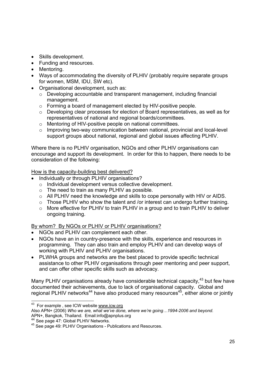- Skills development.
- Funding and resources.
- Mentoring.
- Ways of accommodating the diversity of PLHIV (probably require separate groups for women, MSM, IDU, SW etc).
- Organisational development, such as:
	- o Developing accountable and transparent management, including financial management.
	- o Forming a board of management elected by HIV-positive people.
	- o Developing clear processes for election of Board representatives, as well as for representatives of national and regional boards/committees.
	- o Mentoring of HIV-positive people on national committees.
	- o Improving two-way communication between national, provincial and local-level support groups about national, regional and global issues affecting PLHIV.

Where there is no PLHIV organisation, NGOs and other PLHIV organisations can encourage and support its development. In order for this to happen, there needs to be consideration of the following:

How is the capacity-building best delivered?

- Individually or through PLHIV organisations?
- o Individual development versus collective development.
- o The need to train as many PLHIV as possible.
- $\circ$  All PLHIV need the knowledge and skills to cope personally with HIV or AIDS.
- o Those PLHIV who show the talent and /or interest can undergo further training.
- o More effective for PLHIV to train PLHIV in a group and to train PLHIV to deliver ongoing training.

By whom? By NGOs or PLHIV or PLHIV organisations?

- NGOs and PLHIV can complement each other.
- NGOs have an in country-presence with the skills, experience and resources in programming. They can also train and employ PLHIV and can develop ways of working with PLHIV and PLHIV organisations.
- PLWHA groups and networks are the best placed to provide specific technical assistance to other PLHIV organisations through peer mentoring and peer support, and can offer other specific skills such as advocacy.

Many PLHIV organisations already have considerable technical capacity,  $43$  but few have documented their achievements, due to lack of organisational capacity. Global and regional PLHIV networks<sup>44</sup> have also produced many resources<sup>45</sup>, either alone or jointly

-

<sup>&</sup>lt;sup>43</sup> For example, see ICW website www.icw.org

Also APN+ (2006) *Who we are, what we've done, where we're going…1994-2006 and beyond.* APN+, Bangkok, Thailand. Email:info@apnplus.org<br><sup>44</sup> See page 47: Global PLHIV Networks.

<sup>&</sup>lt;sup>45</sup> See page 49: PLHIV Organisations - Publications and Resources.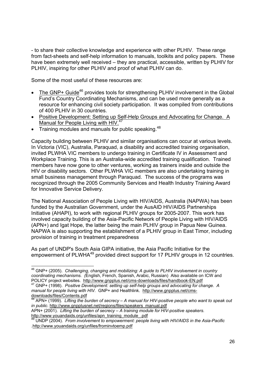- to share their collective knowledge and experience with other PLHIV. These range from fact-sheets and self-help information to manuals, toolkits and policy papers. These have been extremely well received – they are practical, accessible, written by PLHIV for PLHIV, inspiring for other PLHIV and proof of what PLHIV can do.

Some of the most useful of these resources are:

- The GNP+ Guide<sup>46</sup> provides tools for strengthening PLHIV involvement in the Global Fund's Country Coordinating Mechanisms, and can be used more generally as a resource for enhancing civil society participation. It was compiled from contributions of 400 PLHIV in 30 countries.
- Positive Development: Setting up Self-Help Groups and Advocating for Change. A Manual for People Living with HIV.<sup>4</sup>
- Training modules and manuals for public speaking.  $48$

1

Capacity building between PLHIV and similar organisations can occur at various levels. In Victoria (VIC), Australia, Paraquad, a disability and accredited training organisation, invited PLWHA VIC members to undergo training in Certificate IV in Assessment and Workplace Training. This is an Australia-wide accredited training qualification. Trained members have now gone to other ventures, working as trainers inside and outside the HIV or disability sectors. Other PLWHA VIC members are also undertaking training in small business management through Paraquad. The success of the programs was recognized through the 2005 Community Services and Health Industry Training Award for Innovative Service Delivery.

The National Association of People Living with HIV/AIDS, Australia (NAPWA) has been funded by the Australian Government, under the AusAID HIV/AIDS Partnerships Initiative (AHAPI), to work with regional PLHIV groups for 2005-2007. This work has involved capacity building of the Asia-Pacific Network of People Living with HIV/AIDS (APN+) and Igat Hope, the latter being the main PLHIV group in Papua New Guinea. NAPWA is also supporting the establishment of a PLHIV group in East Timor, including provision of training in treatment preparedness

As part of UNDP's South Asia GIPA initiative, the Asia Pacific Initiative for the empowerment of PLWHA<sup>49</sup> provided direct support for 17 PLHIV groups in 12 countries.

<sup>46</sup> GNP+ (2005). *Challenging, changing and mobilizing: A guide to PLHIV involvement in country coordinating mechanisms. (*English, French, Spanish, Arabic, Russian) Also available on ICW and POLICY project websites. http://www.gnpplus.net/cms-downloads/files/handbook-EN.pdf

<sup>47</sup> GNP+ (1998). *Positive Development: setting up self-help groups and advocating for change. A manual for people living with HIV.* GNP+ and Healthlink. http://www.gnpplus.net/cmsdownloads/files/Contents.pdf

<sup>48</sup> APN+ (1999). *Lifting the burden of secrecy – A manual for HIV-positive people who want to speak out in public.* http://www.gnpplusnet.net/regions/files/speakers\_manual.pdf

APN+ (2001). *Lifting the burden of secrecy – A training module for HIV-positive speakers.*

http://www.youandaids.org/unfiles/apn\_training\_module\_.pdf<br><sup>49</sup> UNDP (2004). *From involvement to empowerment: people living with HIV/AIDS in the Asia-Pacific* .http://www.youandaids.org/unfiles/frominvtoemp.pdf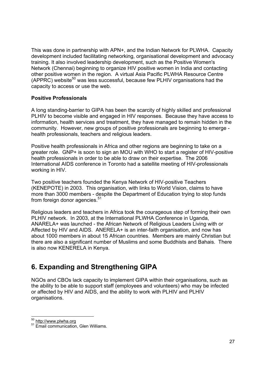This was done in partnership with APN+, and the Indian Network for PLWHA. Capacity development included facilitating networking, organisational development and advocacy training. It also involved leadership development, such as the Positive Women's Network (Chennai) beginning to organize HIV positive women in India and contacting other positive women in the region. A virtual Asia Pacific PLWHA Resource Centre  $(APPRC)$  website<sup>50</sup> was less successful, because few PLHIV organisations had the capacity to access or use the web.

#### **Positive Professionals**

A long standing-barrier to GIPA has been the scarcity of highly skilled and professional PLHIV to become visible and engaged in HIV responses. Because they have access to information, health services and treatment, they have managed to remain hidden in the community. However, new groups of positive professionals are beginning to emerge health professionals, teachers and religious leaders.

Positive health professionals in Africa and other regions are beginning to take on a greater role. GNP+ is soon to sign an MOU with WHO to start a register of HIV-positive health professionals in order to be able to draw on their expertise. The 2006 International AIDS conference in Toronto had a satellite meeting of HIV-professionals working in HIV.

Two positive teachers founded the Kenya Network of HIV-positive Teachers (KENEPOTE) in 2003. This organisation, with links to World Vision, claims to have more than 3000 members - despite the Department of Education trying to stop funds from foreign donor agencies.<sup>51</sup>

Religious leaders and teachers in Africa took the courageous step of forming their own PLHIV network. In 2003, at the International PLWHA Conference in Uganda, ANARELA+ was launched - the African Network of Religious Leaders Living with or Affected by HIV and AIDS. ANERELA+ is an inter-faith organisation, and now has about 1000 members in about 15 African countries. Members are mainly Christian but there are also a significant number of Muslims and some Buddhists and Bahais. There is also now KENERELA in Kenya.

# **6. Expanding and Strengthening GIPA**

NGOs and CBOs lack capacity to implement GIPA within their organisations, such as the ability to be able to support staff (employees and volunteers) who may be infected or affected by HIV and AIDS, and the ability to work with PLHIV and PLHIV organisations.

1

<sup>&</sup>lt;sup>50</sup> http://www.plwha.org<br><sup>51</sup> Email communication, Glen Williams.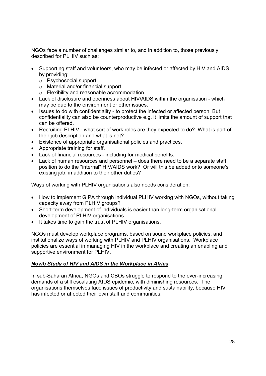NGOs face a number of challenges similar to, and in addition to, those previously described for PLHIV such as:

- Supporting staff and volunteers, who may be infected or affected by HIV and AIDS by providing:
	- o Psychosocial support.
	- o Material and/or financial support.
	- o Flexibility and reasonable accommodation.
- Lack of disclosure and openness about HIV/AIDS within the organisation which may be due to the environment or other issues.
- Issues to do with confidentiality to protect the infected or affected person. But confidentiality can also be counterproductive e.g. it limits the amount of support that can be offered.
- Recruiting PLHIV what sort of work roles are they expected to do? What is part of their job description and what is not?
- Existence of appropriate organisational policies and practices.
- Appropriate training for staff.
- Lack of financial resources including for medical benefits.
- Lack of human resources and personnel does there need to be a separate staff position to do the "internal" HIV/AIDS work? Or will this be added onto someone's existing job, in addition to their other duties?

Ways of working with PLHIV organisations also needs consideration:

- How to implement GIPA through individual PLHIV working with NGOs, without taking capacity away from PLHIV groups?
- Short-term development of individuals is easier than long-term organisational development of PLHIV organisations.
- It takes time to gain the trust of PLHIV organisations.

NGOs must develop workplace programs, based on sound workplace policies, and institutionalize ways of working with PLHIV and PLHIV organisations. Workplace policies are essential in managing HIV in the workplace and creating an enabling and supportive environment for PLHIV.

#### *Novib Study of HIV and AIDS in the Workplace in Africa*

In sub-Saharan Africa, NGOs and CBOs struggle to respond to the ever-increasing demands of a still escalating AIDS epidemic, with diminishing resources. The organisations themselves face issues of productivity and sustainability, because HIV has infected or affected their own staff and communities.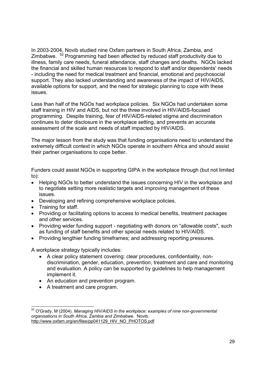In 2003-2004, Novib studied nine Oxfam partners in South Africa, Zambia, and Zimbabwe. 52 Programming had been affected by reduced staff productivity due to illness, family care needs, funeral attendance, staff changes and deaths. NGOs lacked the financial and skilled human resources to respond to staff and/or dependents' needs - including the need for medical treatment and financial, emotional and psychosocial support. They also lacked understanding and awareness of the impact of HIV/AIDS, available options for support, and the need for strategic planning to cope with these issues.

Less than half of the NGOs had workplace policies. Six NGOs had undertaken some staff training in HIV and AIDS, but not the three involved in HIV/AIDS-focused programming. Despite training, fear of HIV/AIDS-related stigma and discrimination continues to deter disclosure in the workplace setting, and prevents an accurate assessment of the scale and needs of staff impacted by HIV/AIDS.

The major lesson from the study was that funding organisations need to understand the extremely difficult context in which NGOs operate in southern Africa and should assist their partner organisations to cope better.

Funders could assist NGOs in supporting GIPA in the workplace through (but not limited to):

- Helping NGOs to better understand the issues concerning HIV in the workplace and to negotiate setting more realistic targets and improving management of these issues.
- Developing and refining comprehensive workplace policies.
- Training for staff.

-

- Providing or facilitating options to access to medical benefits, treatment packages and other services.
- Providing wider funding support negotiating with donors on "allowable costs", such as funding of staff benefits and other special needs related to HIV/AIDS.
- Providing lengthier funding timeframes; and addressing reporting pressures.

A workplace strategy typically includes:

- A clear policy statement covering: clear procedures, confidentiality, nondiscrimination, gender, education, prevention, treatment and care and monitoring and evaluation. A policy can be supported by guidelines to help management implement it.
- An education and prevention program.
- A treatment and care program.

<sup>52</sup> O'Grady, M (2004). *Managing HIV/AIDS in the workplace: examples of nine non-governmental organisations in South Africa, Zambia and Zimbabwe*. Novib. http://www.oxfam.org/en/files/pp041129\_HIV\_NO\_PHOTOS.pdf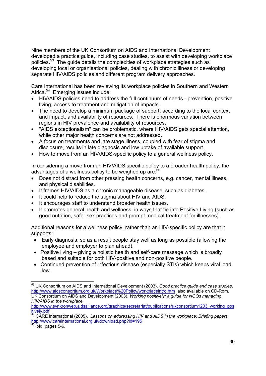Nine members of the UK Consortium on AIDS and International Development developed a practice guide, including case studies, to assist with developing workplace policies.53 The guide details the complexities of workplace strategies such as developing local or organisational policies, dealing with chronic illness or developing separate HIV/AIDS policies and different program delivery approaches.

Care International has been reviewing its workplace policies in Southern and Western Africa.<sup>54</sup> Emerging issues include:

- HIV/AIDS policies need to address the full continuum of needs prevention, positive living, access to treatment and mitigation of impacts.
- The need to develop a minimum package of support, according to the local context and impact, and availability of resources. There is enormous variation between regions in HIV prevalence and availability of resources.
- "AIDS exceptionalism" can be problematic, where HIV/AIDS gets special attention, while other major health concerns are not addressed.
- A focus on treatments and late stage illness, coupled with fear of stigma and disclosure, results in late diagnosis and low uptake of available support.
- How to move from an HIV/AIDS-specific policy to a general wellness policy.

In considering a move from an HIV/AIDS specific policy to a broader health policy, the advantages of a wellness policy to be weighed up are:<sup>55</sup>

- Does not distract from other pressing health concerns, e.g. cancer, mental illness, and physical disabilities.
- It frames HIV/AIDS as a chronic manageable disease, such as diabetes.
- It could help to reduce the stigma about HIV and AIDS.
- It encourages staff to understand broader health issues.
- It promotes general health and wellness, in ways that tie into Positive Living (such as good nutrition, safer sex practices and prompt medical treatment for illnesses).

Additional reasons for a wellness policy, rather than an HIV-specific policy are that it supports:

- Early diagnosis, so as a result people stay well as long as possible (allowing the employee and employer to plan ahead).
- Positive living giving a holistic health and self-care message which is broadly based and suitable for both HIV-positive and non-positive people.
- Continued prevention of infectious disease (especially STIs) which keeps viral load low.

<sup>-</sup>53 UK Consortium on AIDS and International Development (2003). *Good practice guide and case studies*. http://www.aidsconsortium.org.uk/Workplace%20Policy/workplaceintro.htm also available on CD-Rom. UK Consortium on AIDS and Development (2003). *Working positively: a guide for NGOs managing HIV/AIDS in the workplace.* 

http://www.synkronweb.aidsalliance.org/graphics/secretariat/publications/ukconsortium1203\_working\_pos\_<br>itively.pdf<br> $\frac{54}{24}$ 

CARE International (2005). *Lessons on addressing HIV and AIDS in the workplace: Briefing papers.* http://www.careinternational.org.uk/download.php?id=195

 $<sup>55</sup>$  ibid. pages 5-6.</sup>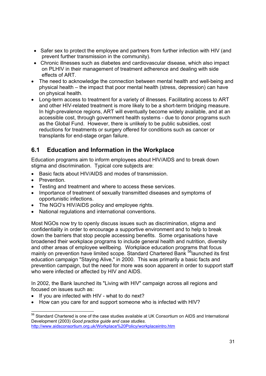- Safer sex to protect the employee and partners from further infection with HIV (and prevent further transmission in the community).
- Chronic illnesses such as diabetes and cardiovascular disease, which also impact on PLHIV in their management of treatment adherence and dealing with side effects of ART.
- The need to acknowledge the connection between mental health and well-being and physical health – the impact that poor mental health (stress, depression) can have on physical health.
- Long-term access to treatment for a variety of illnesses. Facilitating access to ART and other HIV-related treatment is more likely to be a short-term bridging measure. In high-prevalence regions, ART will eventually become widely available, and at an accessible cost, through government health systems - due to donor programs such as the Global Fund. However, there is unlikely to be public subsidies, cost reductions for treatments or surgery offered for conditions such as cancer or transplants for end-stage organ failure.

# **6.1 Education and Information in the Workplace**

Education programs aim to inform employees about HIV/AIDS and to break down stigma and discrimination. Typical core subjects are:

- Basic facts about HIV/AIDS and modes of transmission.
- Prevention.
- Testing and treatment and where to access these services.
- Importance of treatment of sexually transmitted diseases and symptoms of opportunistic infections.
- The NGO's HIV/AIDS policy and employee rights.
- National regulations and international conventions.

Most NGOs now try to openly discuss issues such as discrimination, stigma and confidentiality in order to encourage a supportive environment and to help to break down the barriers that stop people accessing benefits. Some organisations have broadened their workplace programs to include general health and nutrition, diversity and other areas of employee wellbeing. Workplace education programs that focus mainly on prevention have limited scope. Standard Chartered Bank <sup>56</sup>launched its first education campaign "Staying Alive," in 2000. This was primarily a basic facts and prevention campaign, but the need for more was soon apparent in order to support staff who were infected or affected by HIV and AIDS.

In 2002, the Bank launched its "Living with HIV" campaign across all regions and focused on issues such as:

- If you are infected with HIV what to do next?
- How can you care for and support someone who is infected with HIV?

<sup>1</sup> <sup>56</sup> Standard Chartered is one of the case studies available at UK Consortium on AIDS and International Development (2003) *Good practice guide and case studies*. http://www.aidsconsortium.org.uk/Workplace%20Policy/workplaceintro.htm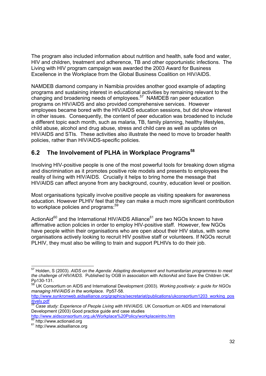The program also included information about nutrition and health, safe food and water, HIV and children, treatment and adherence, TB and other opportunistic infections. The Living with HIV program campaign was awarded the 2003 Award for Business Excellence in the Workplace from the Global Business Coalition on HIV/AIDS.

NAMDEB diamond company in Namibia provides another good example of adapting programs and sustaining interest in educational activities by remaining relevant to the changing and broadening needs of employees.57 NAMDEB ran peer education programs on HIV/AIDS and also provided comprehensive services. However employees became bored with the HIV/AIDS education sessions, but did show interest in other issues. Consequently, the content of peer education was broadened to include a different topic each month, such as malaria, TB, family planning, healthy lifestyles, child abuse, alcohol and drug abuse, stress and child care as well as updates on HIV/AIDS and STIs. These activities also illustrate the need to move to broader health policies, rather than HIV/AIDS-specific policies.

# **6.2 The Involvement of PLHA in Workplace Programs58**

Involving HIV-positive people is one of the most powerful tools for breaking down stigma and discrimination as it promotes positive role models and presents to employees the reality of living with HIV/AIDS. Crucially it helps to bring home the message that HIV/AIDS can affect anyone from any background, country, education level or position.

Most organisations typically involve positive people as visiting speakers for awareness education. However PLHIV feel that they can make a much more significant contribution to workplace policies and programs:<sup>59</sup>

ActionAid $^{60}$  and the International HIV/AIDS Alliance $^{61}$  are two NGOs known to have affirmative action policies in order to employ HIV-positive staff. However, few NGOs have people within their organisations who are open about their HIV status, with some organisations actively looking to recruit HIV positive staff or volunteers. If NGOs recruit PLHIV, they must also be willing to train and support PLHIVs to do their job.

http://www.aidsconsortium.org.uk/Workplace%20Policy/workplaceintro.htm<br><sup>60</sup> http://www.actionaid.org

<sup>1</sup> 57 Holden, S (2003). *AIDS on the Agenda: Adapting development and humanitarian programmes to meet the challenge of HIV/AIDS.* Published by OGB in association with ActionAid and Save the Children UK. Pp130-131.

<sup>58</sup> UK Consortium on AIDS and International Development (2003). *Working positively: a guide for NGOs managing HIV/AIDS in the workplace.* Pp57-58.

http://www.synkronweb.aidsalliance.org/graphics/secretariat/publications/ukconsortium1203\_working\_pos

itively.pdf 59 *Case study: Experience of People Living with HIV/AIDS*. UK Consortium on AIDS and International Development (2003) Good practice guide and case studies

<sup>&</sup>lt;sup>61</sup> http://www.aidsalliance.org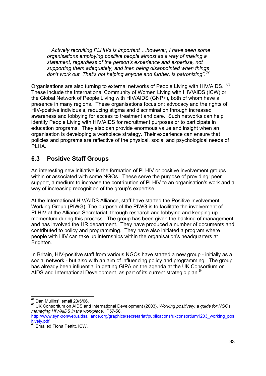*" Actively recruiting PLHIVs is important …however, I have seen some organisations employing positive people almost as a way of making a statement, regardless of the person's experience and expertise, not supporting them adequately, and then being disappointed when things don't work out. That's not helping anyone and further, is patronizing".<sup>62</sup>*

Organisations are also turning to external networks of People Living with HIV/AIDS. 63 These include the International Community of Women Living with HIV/AIDS (ICW) or the Global Network of People Living with HIV/AIDS (GNP+), both of whom have a presence in many regions. These organisations focus on: advocacy and the rights of HIV-positive individuals, reducing stigma and discrimination through increased awareness and lobbying for access to treatment and care. Such networks can help identify People Living with HIV/AIDS for recruitment purposes or to participate in education programs. They also can provide enormous value and insight when an organisation is developing a workplace strategy. Their experience can ensure that policies and programs are reflective of the physical, social and psychological needs of PLHA.

# **6.3 Positive Staff Groups**

An interesting new initiative is the formation of PLHIV or positive involvement groups within or associated with some NGOs. These serve the purpose of providing: peer support, a medium to increase the contribution of PLHIV to an organisation's work and a way of increasing recognition of the group's expertise.

At the International HIV/AIDS Alliance, staff have started the Positive Involvement Working Group (PIWG). The purpose of the PIWG is to facilitate the involvement of PLHIV at the Alliance Secretariat, through research and lobbying and keeping up momentum during this process. The group has been given the backing of management and has involved the HR department. They have produced a number of documents and contributed to policy and programming. They have also initiated a program where people with HIV can take up internships within the organisation's headquarters at Brighton.

In Britain, HIV-positive staff from various NGOs have started a new group - initially as a social network - but also with an aim of influencing policy and programming. The group has already been influential in getting GIPA on the agenda at the UK Consortium on AIDS and International Development, as part of its current strategic plan.<sup>64</sup>

<sup>62</sup> Dan Mullins' email 23/5/06.

<sup>&</sup>lt;sup>63</sup> UK Consortium on AIDS and International Development (2003). *Working positively: a guide for NGOs managing HIV/AIDS in the workplace.* P57-58.

http://www.synkronweb.aidsalliance.org/graphics/secretariat/publications/ukconsortium1203\_working\_pos<br>itively.pdf<br><sup>64</sup> Emailed Fiena Pettitt, ICW

**Emailed Fiona Pettitt, ICW.**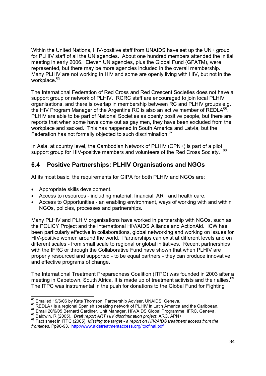Within the United Nations, HIV-positive staff from UNAIDS have set up the UN+ group for PLHIV staff of all the UN agencies. About one hundred members attended the initial meeting in early 2006. Eleven UN agencies, plus the Global Fund (GFATM), were represented, but there may be more agencies included in the overall membership. Many PLHIV are not working in HIV and some are openly living with HIV, but not in the workplace.<sup>65</sup>

The International Federation of Red Cross and Red Crescent Societies does not have a support group or network of PLHIV. RCRC staff are encouraged to join local PLHIV organisations, and there is overlap in membership between RC and PLHIV groups e.g. the HIV Program Manager of the Argentine RC is also an active member of REDLA66. PLHIV are able to be part of National Societies as openly positive people, but there are reports that when some have come out as gay men, they have been excluded from the workplace and sacked. This has happened in South America and Latvia, but the Federation has not formally objected to such discrimination.<sup>67</sup>

In Asia, at country level, the Cambodian Network of PLHIV (CPN+) is part of a pilot support group for HIV-positive members and volunteers of the Red Cross Society. 68

## **6.4 Positive Partnerships: PLHIV Organisations and NGOs**

At its most basic, the requirements for GIPA for both PLHIV and NGOs are:

- Appropriate skills development.
- Access to resources including material, financial, ART and health care.
- Access to Opportunities an enabling environment, ways of working with and within NGOs, policies, processes and partnerships**.**

Many PLHIV and PLHIV organisations have worked in partnership with NGOs, such as the POLICY Project and the International HIV/AIDS Alliance and ActionAid. ICW has been particularly effective in collaborations, global networking and working on issues for HIV-positive women around the world. Partnerships can exist at different levels and on different scales - from small scale to regional or global initiatives. Recent partnerships with the IFRC or through the Collaborative Fund have shown that when PLHIV are properly resourced and supported - to be equal partners - they can produce innovative and effective programs of change.

The International Treatment Preparedness Coalition (ITPC) was founded in 2003 after a meeting in Capetown, South Africa. It is made up of treatment activists and their allies.<sup>69</sup> The ITPC was instrumental in the push for donations to the Global Fund for Fighting

<sup>65</sup> Emailed 19/6/06 by Kate Thomson, Partnership Adviser, UNAIDS, Geneva.

<sup>&</sup>lt;sup>66</sup> REDLA+ is a regional Spanish speaking network of PLHIV in Latin America and the Caribbean.<br><sup>67</sup> Email 20/6/05 Bernard Gardiner, Unit Manager, HIV/AIDS Global Programme, IFRC, Geneva.<br><sup>68</sup> Baldwin, R (2005). *Draft rep* 

<sup>&</sup>lt;sup>69</sup> Fact sheet in ITPC (2005). Missing the target - a report on HIV/AIDS treatment access from the *frontlines.* Pp90-93. http://www.aidstreatmentaccess.org/itpcfinal.pdf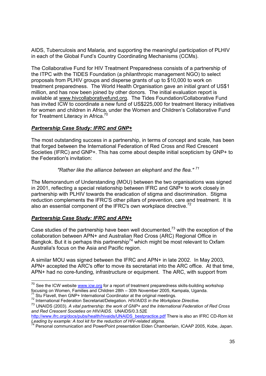AIDS, Tuberculosis and Malaria, and supporting the meaningful participation of PLHIV in each of the Global Fund's Country Coordinating Mechanisms (CCMs).

The Collaborative Fund for HIV Treatment Preparedness consists of a partnership of the ITPC with the TIDES Foundation (a philanthropic management NGO) to select proposals from PLHIV groups and disperse grants of up to \$10,000 to work on treatment preparedness. The World Health Organisation gave an initial grant of US\$1 million, and has now been joined by other donors. The initial evaluation report is available at www.hivcollaborativefund.org. The Tides Foundation/Collaborative Fund has invited ICW to coordinate a new fund of US\$225,000 for treatment literacy initiatives for women and children in Africa, under the Women and Children's Collaborative Fund for Treatment Literacy in Africa.<sup>70</sup>

#### *Partnership Case Study: IFRC and GNP+*

The most outstanding success in a partnership, in terms of concept and scale, has been that forged between the International Federation of Red Cross and Red Crescent Societies (IFRC) and GNP+. This has come about despite initial scepticism by GNP+ to the Federation's invitation:

 *"Rather like the alliance between an elephant and the flea." <sup>71</sup>*

The Memorandum of Understanding (MOU) between the two organisations was signed in 2001, reflecting a special relationship between IFRC and GNP+ to work closely in partnership with PLHIV towards the eradication of stigma and discrimination. Stigma reduction complements the IFRC'S other pillars of prevention, care and treatment. It is also an essential component of the IFRC's own workplace directive.<sup>72</sup>

### *Partnership Case Study: IFRC and APN+*

-

Case studies of the partnership have been well documented.<sup>73</sup> with the exception of the collaboration between APN+ and Australian Red Cross (ARC) Regional Office in Bangkok. But it is perhaps this partnership<sup>74</sup> which might be most relevant to Oxfam Australia's focus on the Asia and Pacific region.

A similar MOU was signed between the IFRC and APN+ in late 2002. In May 2003, APN+ accepted the ARC's offer to move its secretariat into the ARC office. At that time, APN+ had no core-funding, infrastructure or equipment. The ARC, with support from

 $^{70}$  See the ICW website *www.icw.org* for a report of treatment preparedness skills-building workshop focusing on Women, Families and Children 28th – 30th November 2005, Kampala, Uganda.

<sup>&</sup>lt;sup>71</sup> Stu Flavell, then GNP+ International Coordinator at the original meetings.<br><sup>72</sup> International Federation Secretariat/Delegation. *HIV/AIDS in the Workplace Directive.* 

<sup>73</sup> UNAIDS (2003). *A vital partnership: the work of GNP+ and the International Federation of Red Cross and Red Crescent Societies on HIV/AIDS.* UNAIDS/0.3.52E

http://www.ifrc.org/docs/pubs/health/hivaids/UNAIDS\_bestpractice.pdf There is also an IFRC CD-Rom kit Leading by example: A tool kit for the reduction of HIV-related stigma.

<sup>&</sup>lt;sup>74</sup> Personal communication and PowerPoint presentation Elden Chamberlain, ICAAP 2005, Kobe, Japan.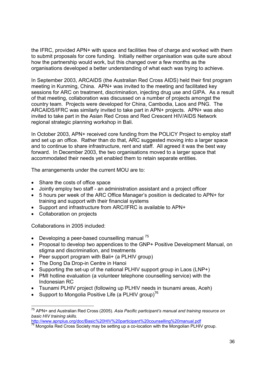the IFRC, provided APN+ with space and facilities free of charge and worked with them to submit proposals for core funding. Initially neither organisation was quite sure about how the partnership would work, but this changed over a few months as the organisations developed a better understanding of what each was trying to achieve.

In September 2003, ARCAIDS (the Australian Red Cross AIDS) held their first program meeting in Kunming, China. APN+ was invited to the meeting and facilitated key sessions for ARC on treatment, discrimination, injecting drug use and GIPA. As a result of that meeting, collaboration was discussed on a number of projects amongst the country team. Projects were developed for China, Cambodia, Laos and PNG. The ARCAIDS/IFRC was similarly invited to take part in APN+ projects. APN+ was also invited to take part in the Asian Red Cross and Red Crescent HIV/AIDS Network regional strategic planning workshop in Bali.

In October 2003, APN+ received core funding from the POLICY Project to employ staff and set up an office. Rather than do that, ARC suggested moving into a larger space and to continue to share infrastructure, rent and staff. All agreed it was the best way forward. In December 2003, the two organisations moved to a larger space that accommodated their needs yet enabled them to retain separate entities.

The arrangements under the current MOU are to:

- Share the costs of office space
- Jointly employ two staff an administration assistant and a project officer
- 5 hours per week of the ARC Office Manager's position is dedicated to APN+ for training and support with their financial systems
- Support and infrastructure from ARC/IFRC is available to APN+
- Collaboration on projects

-

Collaborations in 2005 included:

- Developing a peer-based counselling manual  $75$
- Proposal to develop two appendices to the GNP+ Positive Development Manual, on stigma and discrimination, and treatments
- Peer support program with Bali+ (a PLHIV group)
- The Dong Da Drop-in Centre in Hanoi
- Supporting the set-up of the national PLHIV support group in Laos (LNP+)
- PMI hotline evaluation (a volunteer telephone counselling service) with the Indonesian RC
- Tsunami PLHIV project (following up PLHIV needs in tsunami areas, Aceh)
- Support to Mongolia Positive Life (a PLHIV group)<sup>76</sup>

<sup>75</sup> APN+ and Australian Red Cross (2005). *Asia Pacific participant's manual and training resource on basic HIV training skills.* 

http://www.apnplus.org/doc/Basic%20HIV%20participant%20counselling%20manual.pdf 76 Mongolia Red Cross Society may be setting up a co-location with the Mongolian PLHIV group.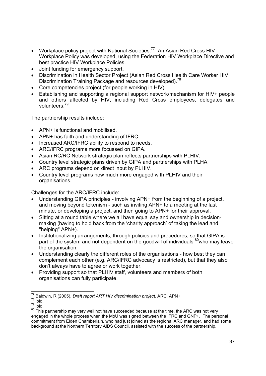- Workplace policy project with National Societies.<sup>77</sup> An Asian Red Cross HIV Workplace Policy was developed, using the Federation HIV Workplace Directive and best practice HIV Workplace Policies.
- Joint funding for emergency support.
- Discrimination in Health Sector Project (Asian Red Cross Health Care Worker HIV Discrimination Training Package and resources developed).<sup>78</sup>
- Core competencies project (for people working in HIV).
- Establishing and supporting a regional support network/mechanism for HIV+ people and others affected by HIV, including Red Cross employees, delegates and volunteers.79

The partnership results include:

- APN+ is functional and mobilised.
- APN+ has faith and understanding of IFRC.
- Increased ARC/IFRC ability to respond to needs.
- ARC/IFRC programs more focussed on GIPA.
- Asian RC/RC Network strategic plan reflects partnerships with PLHIV.
- Country level strategic plans driven by GIPA and partnerships with PLHA.
- ARC programs depend on direct input by PLHIV.
- Country level programs now much more engaged with PLHIV and their organisations.

Challenges for the ARC/IFRC include:

- Understanding GIPA principles involving APN+ from the beginning of a project, and moving beyond tokenism - such as inviting APN+ to a meeting at the last minute, or developing a project, and then going to APN+ for their approval.
- Sitting at a round table where we all have equal say and ownership in decisionmaking (having to hold back from the 'charity approach' of taking the lead and "helping" APN+).
- Institutionalizing arrangements, through policies and procedures, so that GIPA is part of the system and not dependent on the goodwill of individuals  $80$  who may leave the organisation.
- Understanding clearly the different roles of the organisations how best they can complement each other (e.g. ARC/IFRC advocacy is restricted), but that they also don't always have to agree or work together.
- Providing support so that PLHIV staff, volunteers and members of both organisations can fully participate.

<sup>1</sup> 77 Baldwin, R (2005). *Draft report ART HIV discrimination project.* ARC, APN+

 $78$  ibid.

<sup>79</sup> ibid.

<sup>80</sup> This partnership may very well not have succeeded because at the time, the ARC was not very engaged in the whole process when the MoU was signed between the IFRC and GNP+. The personal commitment from Elden Chamberlain, who had just joined as the regional ARC manager, and had some background at the Northern Territory AIDS Council, assisted with the success of the partnership.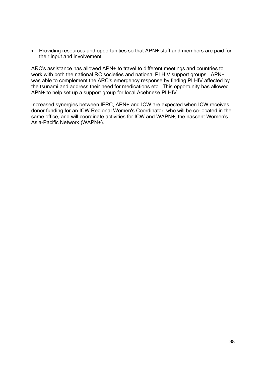• Providing resources and opportunities so that APN+ staff and members are paid for their input and involvement.

ARC's assistance has allowed APN+ to travel to different meetings and countries to work with both the national RC societies and national PLHIV support groups. APN+ was able to complement the ARC's emergency response by finding PLHIV affected by the tsunami and address their need for medications etc. This opportunity has allowed APN+ to help set up a support group for local Acehnese PLHIV.

Increased synergies between IFRC, APN+ and ICW are expected when ICW receives donor funding for an ICW Regional Women's Coordinator, who will be co-located in the same office, and will coordinate activities for ICW and WAPN+, the nascent Women's Asia-Pacific Network (WAPN+).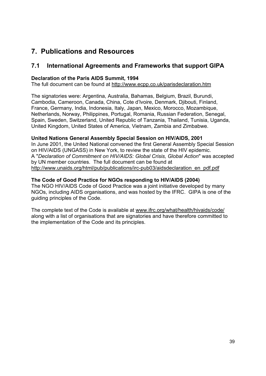# **7. Publications and Resources**

## **7.1 International Agreements and Frameworks that support GIPA**

#### **Declaration of the Paris AIDS Summit, 1994**

The full document can be found at http://www.ecpp.co.uk/parisdeclaration.htm

The signatories were: Argentina, Australia, Bahamas, Belgium, Brazil, Burundi, Cambodia, Cameroon, Canada, China, Cote d'lvoire, Denmark, Djibouti, Finland, France, Germany, India, Indonesia, Italy, Japan, Mexico, Morocco, Mozambique, Netherlands, Norway, Philippines, Portugal, Romania, Russian Federation, Senegal, Spain, Sweden, Switzerland, United Republic of Tanzania, Thailand, Tunisia, Uganda, United Kingdom, United States of America, Vietnam, Zambia and Zimbabwe.

#### **United Nations General Assembly Special Session on HIV/AIDS, 2001**

In June 2001, the United National convened the first General Assembly Special Session on HIV/AIDS (UNGASS) in New York, to review the state of the HIV epidemic. A "*Declaration of Commitment on HIV/AIDS: Global Crisis, Global Action*" was accepted by UN member countries. The full document can be found at http://www.unaids.org/html/pub/publications/irc-pub03/aidsdeclaration\_en\_pdf.pdf

#### **The Code of Good Practice for NGOs responding to HIV/AIDS (2004)**

The NGO HIV/AIDS Code of Good Practice was a joint initiative developed by many NGOs, including AIDS organisations, and was hosted by the IFRC. GIPA is one of the guiding principles of the Code.

The complete text of the Code is available at www.ifrc.org/what/health/hivaids/code/ along with a list of organisations that are signatories and have therefore committed to the implementation of the Code and its principles.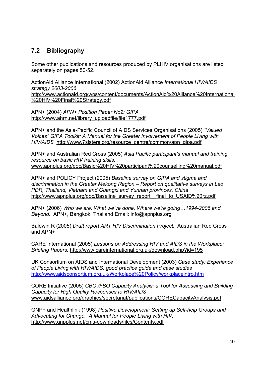# **7.2 Bibliography**

Some other publications and resources produced by PLHIV organisations are listed separately on pages 50-52.

ActionAid Alliance International (2002) ActionAid Alliance *International HIV/AIDS strategy 2003-2006*

http://www.actionaid.org/wps/content/documents/ActionAid%20Alliance%20International %20HIV%20Final%20Strategy.pdf

APN+ (2004) *APN+ Position Paper No2: GIPA* http://www.ahrn.net/library\_uploadfile/file1777.pdf

APN+ and the Asia-Pacific Council of AIDS Services Organisations (2005) *"Valued Voices" GIPA Toolkit: A Manual for the Greater Involvement of People Living with HIV/AIDS* http://www.7sisters.org/resource\_centre/common/apn\_gipa.pdf

APN+ and Australian Red Cross (2005) *Asia Pacific participant's manual and training resource on basic HIV training skills.*  www.apnplus.org/doc/Basic%20HIV%20participant%20counselling%20manual.pdf

APN+ and POLICY Project (2005) *Baseline survey on GIPA and stigma and discrimination in the Greater Mekong Region – Report on qualitative surveys in Lao PDR, Thailand, Vietnam and Guangxi and Yunnan provinces, China*  http://www.apnplus.org/doc/Baseline\_survey\_report\_\_final\_to\_USAID%20rz.pdf

APN+ (2006) *Who we are, What we've done, Where we're going…1994-2006 and Beyond.* APN+, Bangkok, Thailand Email: info@apnplus.org

Baldwin R (2005) *Draft report ART HIV Discrimination Project.* Australian Red Cross and APN+

CARE International (2005) *Lessons on Addressing HIV and AIDS in the Workplace: Briefing Papers.* http://www.careinternational.org.uk/download.php?id=195

UK Consortium on AIDS and International Development (2003) *Case study: Experience of People Living with HIV/AIDS, good practice guide and case studies* http://www.aidsconsortium.org.uk/Workplace%20Policy/workplaceintro.htm

CORE Initiative (2005) *CBO /FBO Capacity Analysis: a Tool for Assessing and Building Capacity for High Quality Responses to HIV/AIDS* www.aidsalliance.org/graphics/secretariat/publications/CORECapacityAnalysis.pdf

GNP+ and Healthlink (1998) *Positive Development: Setting up Self-help Groups and Advocating for Change. A Manual for People Living with HIV.*  http://www.gnpplus.net/cms-downloads/files/Contents.pdf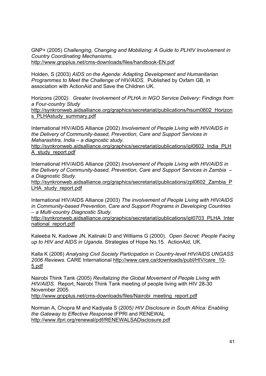GNP+ (2005) *Challenging, Changing and Mobilizing: A Guide to PLHIV Involvement in Country Coordinating Mechanisms.*  http://www.gnpplus.net/cms-downloads/files/handbook-EN.pdf

Holden, S (2003) *AIDS on the Agenda: Adapting Development and Humanitarian Programmes to Meet the Challenge of HIV/AIDS.* Published by Oxfam GB, in association with ActionAid and Save the Children UK.

Horizons (2002*). Greater Involvement of PLHA in NGO Service Delivery: Findings from a Four-country Study*

http://synkronweb.aidsalliance.org/graphics/secretariat/publications/hsum0602\_Horizon s PLHAstudy summary.pdf

International HIV/AIDS Alliance (2002) *Involvement of People Living with HIV/AIDS in the Delivery of Community-based, Prevention, Care and Support Services in Maharashtra, India – a diagnostic study.* 

http://synkronweb.aidsalliance.org/graphics/secretariat/publications/ipl0602\_India\_PLH A\_study\_report.pdf

International HIV/AIDS Alliance (2002) *Involvement of People Living with HIV/AIDS in the Delivery of Community-based, Prevention, Care and Support Services in Zambia – a Diagnostic Study.* 

http://synkronweb.aidsalliance.org/graphics/secretariat/publications/zpl0602\_Zambia\_P LHA study report.pdf

International HIV/AIDS Alliance (2003) *The involvement of People Living with HIV/AIDS in Community-based Prevention, Care and Support Programs in Developing Countries – a Multi-country Diagnostic Study.* 

http://synkronweb.aidsalliance.org/graphics/secretariat/publications/ipl0703\_PLHA\_Inter national\_report.pdf

Kaleeba N, Kadowe JN, Kalinaki D and Williams G (2000). *Open Secret: People Facing up to HIV and AIDS in Uganda*. Strategies of Hope No.15. ActionAid, UK.

Kalla K (2006) *Analysing Civil Society Participation in Country-level HIV/AIDS UNGASS 2006 Reviews.* CARE International http://www.care.ca/downloads/publ/HIV/care\_10- 5.pdf

Nairobi Think Tank (2005) *Revitalizing the Global Movement of People Living with HIV/AIDS.* Report, Nairobi Think Tank meeting of people living with HIV 28-30 November 2005.

http://www.gnpplus.net/cms-downloads/files/Nairobi\_meeting\_report.pdf

Norman A, Chopra M and Kadiyala S (2005*) HIV Disclosure in South Africa: Enabling the Gateway to Effective Response* IFPRI and RENEWAL http://www.ifpri.org/renewal/pdf/RENEWALSADisclosure.pdf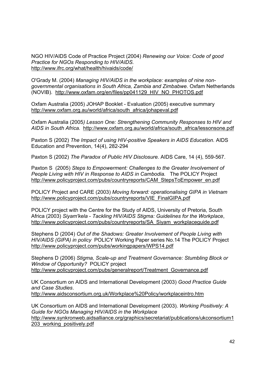NGO HIV/AIDS Code of Practice Project (2004) *Renewing our Voice: Code of good Practice for NGOs Responding to HIV/AIDS.*  http://www.ifrc.org/what/health/hivaids/code/

O'Grady M. (2004) *Managing HIV/AIDS in the workplace: examples of nine nongovernmental organisations in South Africa, Zambia and Zimbabwe.* Oxfam Netherlands (NOVIB). http://www.oxfam.org/en/files/pp041129\_HIV\_NO\_PHOTOS.pdf

Oxfam Australia (2005) JOHAP Booklet - Evaluation (2005) executive summary http://www.oxfam.org.au/world/africa/south\_africa/johapeval.pdf

Oxfam Australia (2005*) Lesson One: Strengthening Community Responses to HIV and AIDS in South Africa.* http://www.oxfam.org.au/world/africa/south\_africa/lessonsone.pdf

Paxton S (2002) *The Impact of using HIV-positive Speakers in AIDS Education.* AIDS Education and Prevention, 14(4), 282-294

Paxton S (2002) *The Paradox of Public HIV Disclosure.* AIDS Care, 14 (4), 559-567.

Paxton S (2005) *Steps to Empowerment: Challenges to the Greater Involvement of People Living with HIV in Response to AIDS in Cambodia.* The POLICY Project http://www.policyproject.com/pubs/countryreports/CAM\_StepsToEmpower\_en.pdf

POLICY Project and CARE (2003) *Moving forward: operationalising GIPA in Vietnam* http://www.policyproject.com/pubs/countryreports/VIE\_FinalGIPA.pdf

POLICY project with the Centre for the Study of AIDS, University of Pretoria, South Africa (2003) *Siyam'kela* - *Tackling HIV/AIDS Stigma: Guidelines for the Workplace*, http://www.policyproject.com/pubs/countryreports/SA\_Siyam\_workplaceguide.pdf

Stephens D (2004) *Out of the Shadows: Greater Involvement of People Living with HIV/AIDS (GIPA) in policy* POLICY Working Paper series No.14 The POLICY Project http://www.policyproject.com/pubs/workingpapers/WPS14.pdf

Stephens D (2006) *Stigma, Scale-up and Treatment Governance: Stumbling Block or Window of Opportunity?* POLICY project http://www.policyproject.com/pubs/generalreport/Treatment\_Governance.pdf

UK Consortium on AIDS and International Development (2003) *Good Practice Guide and Case Studies*. http://www.aidsconsortium.org.uk/Workplace%20Policy/workplaceintro.htm

UK Consortium on AIDS and International Development (2003). *Working Positively: A Guide for NGOs Managing HIV/AIDS in the Workplace*  http://www.synkronweb.aidsalliance.org/graphics/secretariat/publications/ukconsortium1 203\_working\_positively.pdf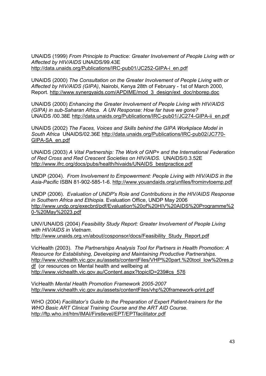UNAIDS (1999) *From Principle to Practice: Greater Involvement of People Living with or Affected by HIV/AIDS* UNAIDS/99.43E http://data.unaids.org/Publications/IRC-pub01/JC252-GIPA-i\_en.pdf

UNAIDS (2000) *The Consultation on the Greater Involvement of People Living with or Affected by HIV/AIDS (GIPA)*, Nairobi, Kenya 28th of February - 1st of March 2000, Report. http://www.synergyaids.com/APDIME/mod\_3\_design/ext\_doc/nborep.doc

UNAIDS (2000) *Enhancing the Greater Involvement of People Living with HIV/AIDS (GIPA) in sub-Saharan Africa. A UN Response: How far have we gone?* UNAIDS /00.38E http://data.unaids.org/Publications/IRC-pub01/JC274-GIPA-ii\_en.pdf

UNAIDS (2002) *The Faces, Voices and Skills behind the GIPA Workplace Model in South Africa* UNAIDS/02.36E http://data.unaids.org/Publications/IRC-pub02/JC770- GIPA-SA\_en.pdf

UNAIDS (2003) *A Vital Partnership: The Work of GNP+ and the International Federation of Red Cross and Red Crescent Societies on HIV/AIDS.* UNAIDS/0.3.52E http://www.ifrc.org/docs/pubs/health/hivaids/UNAIDS\_bestpractice.pdf

UNDP (2004). *From Involvement to Empowerment: People Living with HIV/AIDS in the Asia-Pacific* ISBN 81-902-585-1-6. http://www.youandaids.org/unfiles/frominvtoemp.pdf

UNDP (2006). *Evaluation of UNDP's Role and Contributions in the HIV/AIDS Response in Southern Africa and Ethiopia*. Evaluation Office, UNDP May 2006 http://www.undp.org/execbrd/pdf/Evaluation%20of%20HIV%20AIDS%20Programme%2 0-%20May%2023.pdf

UNV/UNAIDS (2004) *Feasibility Study Report: Greater Involvement of People Living with HIV/AIDS in Vietnam.*  http://www.unaids.org.vn/about/cosponsor/docs/Feasibility\_Study\_Report.pdf

VicHealth (2003). *The Partnerships Analysis Tool for Partners in Health Promotion: A Resource for Establishing, Developing and Maintaining Productive Partnerships.*  http://www.vichealth.vic.gov.au/assets/contentFiles/VHP%20part.%20tool\_low%20res.p df (or resources on Mental health and wellbeing at http://www.vichealth.vic.gov.au/Content.aspx?topicID=239#cs\_576

VicHealth *Mental Health Promotion Framework 2005-2007* http://www.vichealth.vic.gov.au/assets/contentFiles/vhp%20framework-print.pdf

WHO (2004) *Facilitator's Guide to the Preparation of Expert Patient-trainers for the WHO Basic ART Clinical Training Course and the ART AID Course.*  http://ftp.who.int/htm/IMAI/Firstlevel/EPT/EPTfacilitator.pdf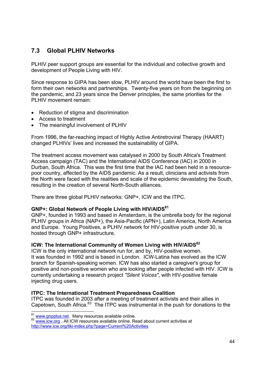# **7.3 Global PLHIV Networks**

PLHIV peer support groups are essential for the individual and collective growth and development of People Living with HIV.

Since response to GIPA has been slow, PLHIV around the world have been the first to form their own networks and partnerships. Twenty-five years on from the beginning on the pandemic, and 23 years since the Denver principles, the same priorities for the PLHIV movement remain:

- Reduction of stigma and discrimination
- Access to treatment
- The meaningful involvement of PLHIV

From 1996, the far-reaching impact of Highly Active Antiretroviral Therapy (HAART) changed PLHIVs' lives and increased the sustainability of GIPA.

The treatment access movement was catalysed in 2000 by South Africa's Treatment Access campaign (TAC) and the International AIDS Conference (IAC) in 2000 in Durban, South Africa. This was the first time that the IAC had been held in a resourcepoor country, affected by the AIDS pandemic. As a result, clinicians and activists from the North were faced with the realities and scale of the epidemic devastating the South, resulting in the creation of several North-South alliances.

There are three global PLHIV networks: GNP+, ICW and the ITPC.

#### GNP+: Global Network of People Living with HIV/AIDS<sup>81</sup>

GNP+, founded in 1993 and based in Amsterdam, is the umbrella body for the regional PLHIV groups in Africa (NAP+), the Asia-Pacific (APN+), Latin America, North America and Europe. Young Positives, a PLHIV network for HIV-positive youth under 30, is hosted through GNP+ infrastructure.

#### **ICW: The International Community of Women Living with HIV/AIDS<sup>82</sup>**

ICW is the only international network run for, and by, HIV-positive women. It was founded in 1992 and is based in London. ICW-Latina has evolved as the ICW branch for Spanish-speaking women. ICW has also started a caregiver's group for positive and non-positive women who are looking after people infected with HIV. ICW is currently undertaking a research project *"Silent Voices"*, with HIV-positive female injecting drug users.

#### **ITPC: The International Treatment Preparedness Coalition**

ITPC was founded in 2003 after a meeting of treatment activists and their allies in Capetown, South Africa.<sup>83</sup> The ITPC was instrumental in the push for donations to the

<sup>81</sup> www.anpplus.net. Many resources available online.

<sup>82</sup> www.icw.org . All ICW resources available online. Read about current activities at http://www.icw.org/tiki-index.php?page=Current%20Activities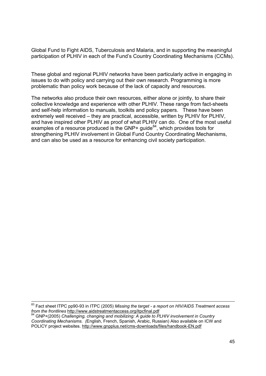Global Fund to Fight AIDS, Tuberculosis and Malaria, and in supporting the meaningful participation of PLHIV in each of the Fund's Country Coordinating Mechanisms (CCMs).

These global and regional PLHIV networks have been particularly active in engaging in issues to do with policy and carrying out their own research. Programming is more problematic than policy work because of the lack of capacity and resources.

The networks also produce their own resources, either alone or jointly, to share their collective knowledge and experience with other PLHIV. These range from fact-sheets and self-help information to manuals, toolkits and policy papers. These have been extremely well received – they are practical, accessible, written by PLHIV for PLHIV, and have inspired other PLHIV as proof of what PLHIV can do. One of the most useful examples of a resource produced is the GNP+ guide<sup>84</sup>, which provides tools for strengthening PLHIV involvement in Global Fund Country Coordinating Mechanisms, and can also be used as a resource for enhancing civil society participation.

<sup>83</sup> Fact sheet ITPC pp90-93 in ITPC (2005) *Missing the target - a report on HIV/AIDS Treatment access from the frontlines http://www.aidstreatmentaccess.org/itpcfinal.pdf<br><sup>84</sup> CND (2005) CL <sup>41</sup>* 

*f*  $GNP+(2005)$  *Challenging, changing and mobilizing: A guide to PLHIV involvement in Country Coordinating Mechanisms. (*English, French, Spanish, Arabic, Russian) Also available on ICW and POLICY project websites. http://www.gnpplus.net/cms-downloads/files/handbook-EN.pdf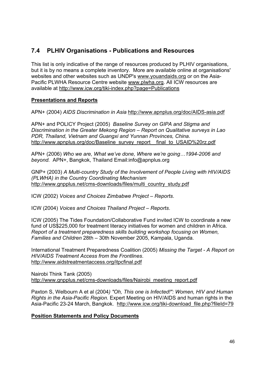# **7.4 PLHIV Organisations - Publications and Resources**

This list is only indicative of the range of resources produced by PLHIV organisations, but it is by no means a complete inventory. More are available online at organisations' websites and other websites such as UNDP's www.youandaids.org or on the Asia-Pacific PLWHA Resource Centre website www.plwha.org. All ICW resources are available at http://www.icw.org/tiki-index.php?page=Publications

#### **Presentations and Reports**

APN+ (2004) *AIDS Discrimination in Asia* http://www.apnplus.org/doc/AIDS-asia.pdf

APN+ and POLICY Project (2005) *Baseline Survey on GIPA and Stigma and Discrimination in the Greater Mekong Region – Report on Qualitative surveys in Lao PDR, Thailand, Vietnam and Guangxi and Yunnan Provinces, China.*  http://www.apnplus.org/doc/Baseline\_survey\_report\_\_final\_to\_USAID%20rz.pdf

APN+ (2006) *Who we are, What we've done, Where we're going…1994-2006 and beyond.* APN+, Bangkok, Thailand Email:info@apnplus.org

GNP+ (2003) *A Multi-country Study of the Involvement of People Living with HIV/AIDS (PLWHA) in the Country Coordinating Mechanism*  http://www.gnpplus.net/cms-downloads/files/multi\_country\_study.pdf

ICW (2002) *Voices and Choices Zimbabwe Project – Reports*.

ICW (2004) *Voices and Choices Thailand Project – Reports*.

ICW (2005) The Tides Foundation/Collaborative Fund invited ICW to coordinate a new fund of US\$225,000 for treatment literacy initiatives for women and children in Africa. *Report of a treatment preparedness skills building workshop focusing on Women, Families and Children* 28th – 30th November 2005, Kampala, Uganda.

International Treatment Preparedness Coalition (2005) *Missing the Target - A Report on HIV/AIDS Treatment Access from the Frontlines*. http://www.aidstreatmentaccess.org/itpcfinal.pdf

Nairobi Think Tank (2005) http://www.gnpplus.net/cms-downloads/files/Nairobi\_meeting\_report.pdf

Paxton S, Welbourn A et al (2004*) "Oh, This one is Infected!": Women, HIV and Human Rights in the Asia-Pacific Region.* Expert Meeting on HIV/AIDS and human rights in the Asia-Pacific 23-24 March, Bangkok. http://www.icw.org/tiki-download\_file.php?fileId=79

### **Position Statements and Policy Documents**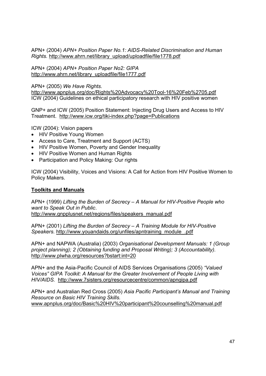APN+ (2004) *APN+ Position Paper No.1: AIDS-Related Discrimination and Human Rights.* http://www.ahrn.net/library\_upload/uploadfile/file1778.pdf

APN+ (2004) *APN+ Position Paper No2: GIPA* http://www.ahrn.net/library\_uploadfile/file1777.pdf

APN+ (2005) *We Have Rights.*

http://www.apnplus.org/doc/Rights%20Advocacy%20Tool-16%20Feb%2705.pdf ICW (2004) Guidelines on ethical participatory research with HIV positive women

GNP+ and ICW (2005) Position Statement: Injecting Drug Users and Access to HIV Treatment. http://www.icw.org/tiki-index.php?page=Publications

ICW (2004): Vision papers

- HIV Positive Young Women
- Access to Care, Treatment and Support (ACTS)
- HIV Positive Women, Poverty and Gender Inequality
- HIV Positive Women and Human Rights
- Participation and Policy Making: Our rights

ICW (2004) Visibility, Voices and Visions: A Call for Action from HIV Positive Women to Policy Makers.

#### **Toolkits and Manuals**

APN+ (1999) *Lifting the Burden of Secrecy – A Manual for HIV-Positive People who want to Speak Out in Public*. http://www.gnpplusnet.net/regions/files/speakers\_manual.pdf

APN+ (2001) *Lifting the Burden of Secrecy – A Training Module for HIV-Positive Speakers.* http://www.youandaids.org/unfiles/apntraining\_module\_.pdf

APN+ and NAPWA (Australia) (2003) *Organisational Development Manuals: 1 (Group project planning); 2 (Obtaining funding and Proposal Writing); 3 (Accountability).*  http://www.plwha.org/resources?bstart:int=20

APN+ and the Asia-Pacific Council of AIDS Services Organisations (2005) *"Valued Voices" GIPA Toolkit: A Manual for the Greater Involvement of People Living with HIV/AIDS.* http://www.7sisters.org/resourcecentre/common/apngipa.pdf

APN+ and Australian Red Cross (2005) *Asia Pacific Participant's Manual and Training Resource on Basic HIV Training Skills.*  www.apnplus.org/doc/Basic%20HIV%20participant%20counselling%20manual.pdf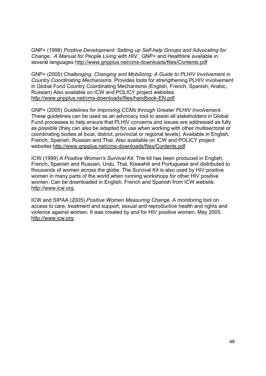GNP+ (1998) *Positive Development: Setting up Self-help Groups and Advocating for Change. A Manual for People Living with HIV.* GNP+ and Healthlink available in several languages http://www.gnpplus.net/cms-downloads/files/Contents.pdf

GNP+ (2005) *Challenging, Changing and Mobilizing: A Guide to PLHIV Involvement in Country Coordinating Mechanisms.* Provides tools for strengthening PLHIV involvement in Global Fund Country Coordinating Mechanisms *(*English, French, Spanish, Arabic, Russian) Also available on ICW and POLICY project websites. http://www.gnpplus.net/cms-downloads/files/handbook-EN.pdf

GNP+ (2005) *Guidelines for Improving CCMs through Greater PLHIV Involvement*. These guidelines can be used as an advocacy tool to assist all stakeholders in Global Fund processes to help ensure that PLHIV concerns and issues are addressed as fully as possible (they can also be adapted for use when working with other multisectoral or coordinating bodies at local, district, provincial or regional levels). Available in English, French, Spanish, Russian and Thai. Also available on ICW and POLICY project websites http://www.gnpplus.net/cms-downloads/files/Contents.pdf

ICW (1999) *A Positive Women's Survival Kit*. The kit has been produced in English, French, Spanish and Russian, Urdu, Thai, Kiswahili and Portuguese and distributed to thousands of women across the globe. The Survival Kit is also used by HIV positive women in many parts of the world when running workshops for other HIV positive women. Can be downloaded in English, French and Spanish from ICW website. http://www.icw.org

ICW and SIPAA (2005) *Positive Women Measuring Change.* A monitoring tool on access to care, treatment and support, sexual and reproductive health and rights and violence against women. It was created by and for HIV positive women, May 2005. http://www.icw.org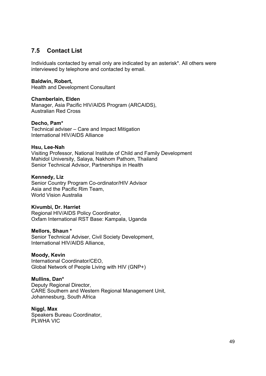# **7.5 Contact List**

Individuals contacted by email only are indicated by an asterisk\*. All others were interviewed by telephone and contacted by email.

#### **Baldwin, Robert,**

Health and Development Consultant

#### **Chamberlain, Elden**

Manager, Asia Pacific HIV/AIDS Program (ARCAIDS), Australian Red Cross

#### **Decho, Pam\***

Technical adviser – Care and Impact Mitigation International HIV/AIDS Alliance

#### **Hsu, Lee-Nah**

Visiting Professor, National Institute of Child and Family Development Mahidol University, Salaya, Nakhom Pathom, Thailand Senior Technical Advisor, Partnerships in Health

#### **Kennedy, Liz**

Senior Country Program Co-ordinator/HIV Advisor Asia and the Pacific Rim Team, World Vision Australia

#### **Kivumbi, Dr. Harriet**

Regional HIV/AIDS Policy Coordinator, Oxfam International RST Base: Kampala, Uganda

#### **Mellors, Shaun \***

Senior Technical Adviser, Civil Society Development, International HIV/AIDS Alliance,

#### **Moody, Kevin**

International Coordinator/CEO, Global Network of People Living with HIV (GNP+)

#### **Mullins, Dan\***

Deputy Regional Director, CARE Southern and Western Regional Management Unit, Johannesburg, South Africa

#### **Niggl, Max**

Speakers Bureau Coordinator, PLWHA VIC